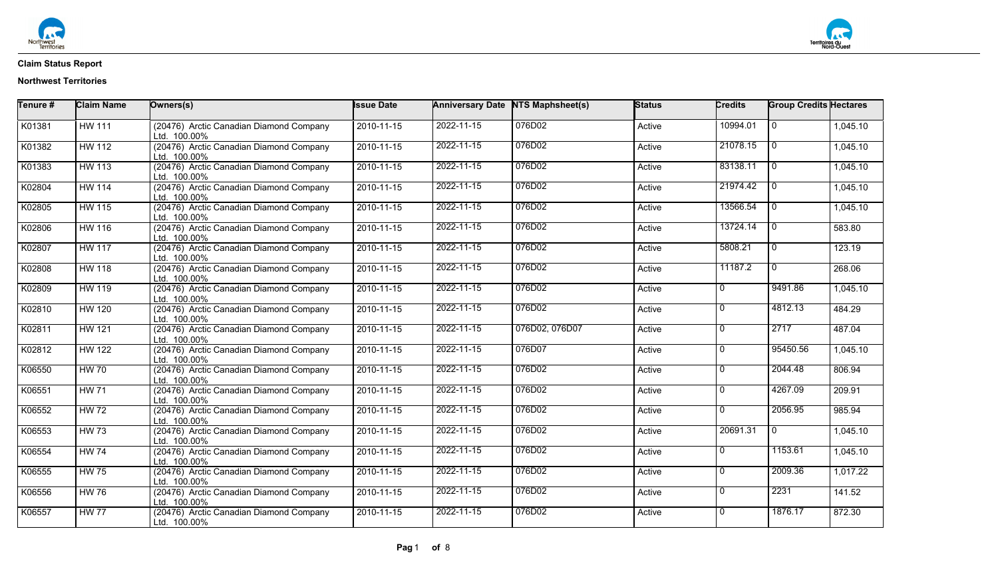

| Tenure # | <b>Claim Name</b> | Owners(s)                                               | <b>Issue Date</b> |            | Anniversary Date NTS Maphsheet(s) | Status | Credits        | <b>Group Credits Hectares</b> |          |
|----------|-------------------|---------------------------------------------------------|-------------------|------------|-----------------------------------|--------|----------------|-------------------------------|----------|
| K01381   | <b>HW 111</b>     | (20476) Arctic Canadian Diamond Company<br>Ltd. 100.00% | 2010-11-15        | 2022-11-15 | 076D02                            | Active | 10994.01       | $\mathbf 0$                   | 1,045.10 |
| K01382   | <b>HW 112</b>     | (20476) Arctic Canadian Diamond Company<br>Ltd. 100.00% | $2010 - 11 - 15$  | 2022-11-15 | 076D02                            | Active | 21078.15       | $\mathbf 0$                   | 1,045.10 |
| K01383   | <b>HW 113</b>     | (20476) Arctic Canadian Diamond Company<br>Ltd. 100.00% | 2010-11-15        | 2022-11-15 | 076D02                            | Active | 83138.11       | $\overline{0}$                | 1,045.10 |
| K02804   | <b>HW 114</b>     | (20476) Arctic Canadian Diamond Company<br>Ltd. 100.00% | 2010-11-15        | 2022-11-15 | 076D02                            | Active | 21974.42       | $\overline{0}$                | 1,045.10 |
| K02805   | <b>HW 115</b>     | (20476) Arctic Canadian Diamond Company<br>Ltd. 100.00% | 2010-11-15        | 2022-11-15 | 076D02                            | Active | 13566.54       | $\mathbf 0$                   | 1,045.10 |
| K02806   | <b>HW 116</b>     | (20476) Arctic Canadian Diamond Company<br>Ltd. 100.00% | 2010-11-15        | 2022-11-15 | 076D02                            | Active | 13724.14       | $\overline{0}$                | 583.80   |
| K02807   | <b>HW 117</b>     | (20476) Arctic Canadian Diamond Company<br>Ltd. 100.00% | 2010-11-15        | 2022-11-15 | 076D02                            | Active | 5808.21        | $\mathbf{0}$                  | 123.19   |
| K02808   | <b>HW 118</b>     | (20476) Arctic Canadian Diamond Company<br>Ltd. 100.00% | 2010-11-15        | 2022-11-15 | 076D02                            | Active | 11187.2        | $\overline{0}$                | 268.06   |
| K02809   | <b>HW 119</b>     | (20476) Arctic Canadian Diamond Company<br>Ltd. 100.00% | 2010-11-15        | 2022-11-15 | 076D02                            | Active | $\Omega$       | 9491.86                       | 1,045.10 |
| K02810   | <b>HW 120</b>     | (20476) Arctic Canadian Diamond Company<br>Ltd. 100.00% | 2010-11-15        | 2022-11-15 | 076D02                            | Active | <sup>0</sup>   | 4812.13                       | 484.29   |
| K02811   | <b>HW 121</b>     | (20476) Arctic Canadian Diamond Company<br>Ltd. 100.00% | 2010-11-15        | 2022-11-15 | 076D02, 076D07                    | Active | $\Omega$       | 2717                          | 487.04   |
| K02812   | <b>HW 122</b>     | (20476) Arctic Canadian Diamond Company<br>Ltd. 100.00% | 2010-11-15        | 2022-11-15 | 076D07                            | Active | <sup>0</sup>   | 95450.56                      | 1,045.10 |
| K06550   | <b>HW 70</b>      | (20476) Arctic Canadian Diamond Company<br>Ltd. 100.00% | 2010-11-15        | 2022-11-15 | 076D02                            | Active | $\Omega$       | 2044.48                       | 806.94   |
| K06551   | <b>HW 71</b>      | (20476) Arctic Canadian Diamond Company<br>Ltd. 100.00% | 2010-11-15        | 2022-11-15 | 076D02                            | Active | $\Omega$       | 4267.09                       | 209.91   |
| K06552   | <b>HW 72</b>      | (20476) Arctic Canadian Diamond Company<br>Ltd. 100.00% | 2010-11-15        | 2022-11-15 | 076D02                            | Active | 0              | 2056.95                       | 985.94   |
| K06553   | <b>HW 73</b>      | (20476) Arctic Canadian Diamond Company<br>Ltd. 100.00% | 2010-11-15        | 2022-11-15 | 076D02                            | Active | 20691.31       | $\overline{0}$                | 1,045.10 |
| K06554   | <b>HW 74</b>      | (20476) Arctic Canadian Diamond Company<br>Ltd. 100.00% | 2010-11-15        | 2022-11-15 | 076D02                            | Active | $\Omega$       | 1153.61                       | 1,045.10 |
| K06555   | <b>HW 75</b>      | (20476) Arctic Canadian Diamond Company<br>Ltd. 100.00% | 2010-11-15        | 2022-11-15 | 076D02                            | Active | $\Omega$       | 2009.36                       | 1,017.22 |
| K06556   | <b>HW 76</b>      | (20476) Arctic Canadian Diamond Company<br>Ltd. 100.00% | 2010-11-15        | 2022-11-15 | 076D02                            | Active | $\overline{0}$ | 2231                          | 141.52   |
| K06557   | <b>HW 77</b>      | (20476) Arctic Canadian Diamond Company<br>Ltd. 100.00% | $2010 - 11 - 15$  | 2022-11-15 | 076D02                            | Active | $\Omega$       | 1876.17                       | 872.30   |

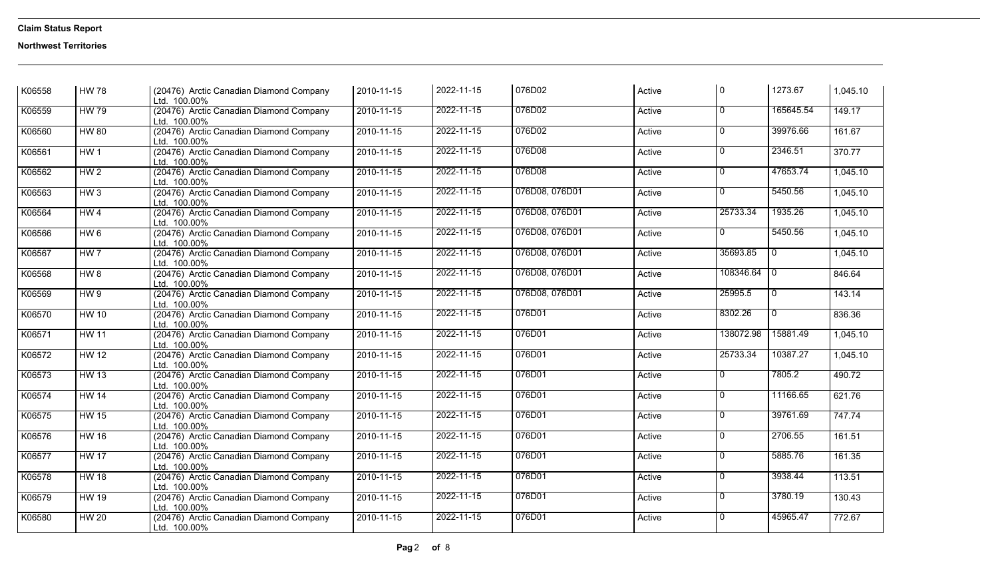| K06558 | <b>HW 78</b>    | (20476) Arctic Canadian Diamond Company<br>Ltd. 100.00% | 2010-11-15       | 2022-11-15 | 076D02         | Active | $\Omega$       | 1273.67         | 1,045.10 |
|--------|-----------------|---------------------------------------------------------|------------------|------------|----------------|--------|----------------|-----------------|----------|
| K06559 | <b>HW 79</b>    | (20476) Arctic Canadian Diamond Company<br>Ltd. 100.00% | 2010-11-15       | 2022-11-15 | 076D02         | Active | $\overline{0}$ | 165645.54       | 149.17   |
| K06560 | <b>HW 80</b>    | (20476) Arctic Canadian Diamond Company<br>Ltd. 100.00% | 2010-11-15       | 2022-11-15 | 076D02         | Active | $\overline{0}$ | 39976.66        | 161.67   |
| K06561 | HW <sub>1</sub> | (20476) Arctic Canadian Diamond Company<br>Ltd. 100.00% | 2010-11-15       | 2022-11-15 | 076D08         | Active | $\Omega$       | 2346.51         | 370.77   |
| K06562 | HW <sub>2</sub> | (20476) Arctic Canadian Diamond Company<br>Ltd. 100.00% | 2010-11-15       | 2022-11-15 | 076D08         | Active | $\Omega$       | 47653.74        | 1,045.10 |
| K06563 | HW3             | (20476) Arctic Canadian Diamond Company<br>Ltd. 100.00% | 2010-11-15       | 2022-11-15 | 076D08, 076D01 | Active | $\overline{0}$ | 5450.56         | 1,045.10 |
| K06564 | HW4             | (20476) Arctic Canadian Diamond Company<br>Ltd. 100.00% | 2010-11-15       | 2022-11-15 | 076D08, 076D01 | Active | 25733.34       | 1935.26         | 1,045.10 |
| K06566 | HW6             | (20476) Arctic Canadian Diamond Company<br>Ltd. 100.00% | 2010-11-15       | 2022-11-15 | 076D08, 076D01 | Active | $\overline{0}$ | 5450.56         | 1,045.10 |
| K06567 | HW <sub>7</sub> | (20476) Arctic Canadian Diamond Company<br>Ltd. 100.00% | 2010-11-15       | 2022-11-15 | 076D08, 076D01 | Active | 35693.85       | $\overline{0}$  | 1,045.10 |
| K06568 | HW 8            | (20476) Arctic Canadian Diamond Company<br>Ltd. 100.00% | 2010-11-15       | 2022-11-15 | 076D08, 076D01 | Active | 108346.64      | $\overline{10}$ | 846.64   |
| K06569 | HW9             | (20476) Arctic Canadian Diamond Company<br>Ltd. 100.00% | 2010-11-15       | 2022-11-15 | 076D08, 076D01 | Active | 25995.5        | $\overline{0}$  | 143.14   |
| K06570 | <b>HW 10</b>    | (20476) Arctic Canadian Diamond Company<br>Ltd. 100.00% | 2010-11-15       | 2022-11-15 | 076D01         | Active | 8302.26        | $\overline{0}$  | 836.36   |
| K06571 | <b>HW 11</b>    | (20476) Arctic Canadian Diamond Company<br>Ltd. 100.00% | 2010-11-15       | 2022-11-15 | 076D01         | Active | 138072.98      | 15881.49        | 1,045.10 |
| K06572 | <b>HW 12</b>    | (20476) Arctic Canadian Diamond Company<br>Ltd. 100.00% | 2010-11-15       | 2022-11-15 | 076D01         | Active | 25733.34       | 10387.27        | 1,045.10 |
| K06573 | <b>HW 13</b>    | (20476) Arctic Canadian Diamond Company<br>Ltd. 100.00% | 2010-11-15       | 2022-11-15 | 076D01         | Active | $\Omega$       | 7805.2          | 490.72   |
| K06574 | <b>HW 14</b>    | (20476) Arctic Canadian Diamond Company<br>Ltd. 100.00% | 2010-11-15       | 2022-11-15 | 076D01         | Active | $\Omega$       | 11166.65        | 621.76   |
| K06575 | <b>HW 15</b>    | (20476) Arctic Canadian Diamond Company<br>Ltd. 100.00% | 2010-11-15       | 2022-11-15 | 076D01         | Active | $\Omega$       | 39761.69        | 747.74   |
| K06576 | <b>HW 16</b>    | (20476) Arctic Canadian Diamond Company<br>Ltd. 100.00% | 2010-11-15       | 2022-11-15 | 076D01         | Active | $\Omega$       | 2706.55         | 161.51   |
| K06577 | <b>HW 17</b>    | (20476) Arctic Canadian Diamond Company<br>Ltd. 100.00% | 2010-11-15       | 2022-11-15 | 076D01         | Active | $\overline{0}$ | 5885.76         | 161.35   |
| K06578 | <b>HW 18</b>    | (20476) Arctic Canadian Diamond Company<br>Ltd. 100.00% | 2010-11-15       | 2022-11-15 | 076D01         | Active | $\overline{0}$ | 3938.44         | 113.51   |
| K06579 | <b>HW 19</b>    | (20476) Arctic Canadian Diamond Company<br>Ltd. 100.00% | 2010-11-15       | 2022-11-15 | 076D01         | Active | $\overline{0}$ | 3780.19         | 130.43   |
| K06580 | <b>HW 20</b>    | (20476) Arctic Canadian Diamond Company<br>Ltd. 100.00% | $2010 - 11 - 15$ | 2022-11-15 | 076D01         | Active | $\overline{0}$ | 45965.47        | 772.67   |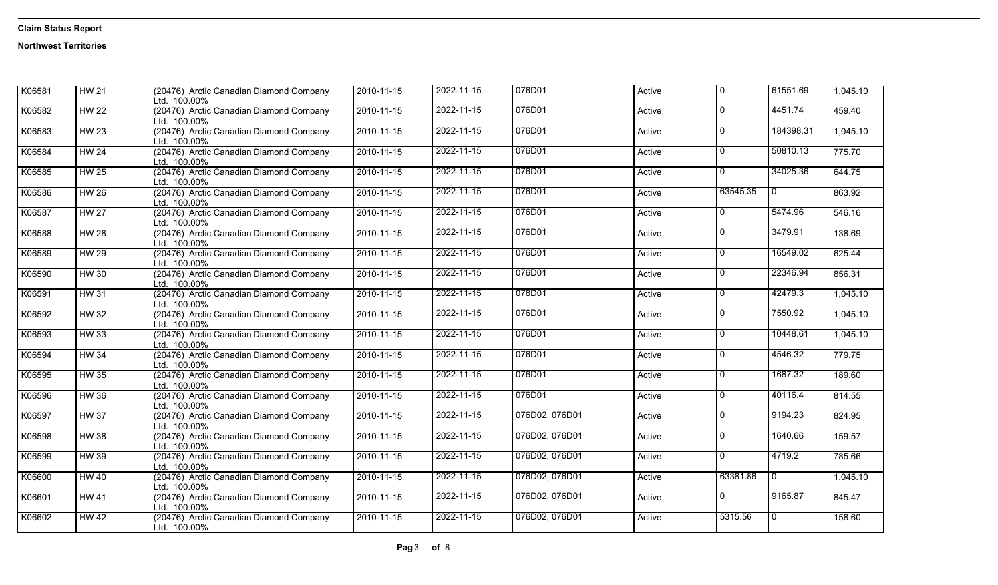| K06581 | <b>HW 21</b>     | (20476) Arctic Canadian Diamond Company<br>Ltd. 100.00% | 2010-11-15              | 2022-11-15 | 076D01         | Active | l 0            | 61551.69                | 1,045.10 |
|--------|------------------|---------------------------------------------------------|-------------------------|------------|----------------|--------|----------------|-------------------------|----------|
| K06582 | <b>HW 22</b>     | (20476) Arctic Canadian Diamond Company<br>Ltd. 100.00% | 2010-11-15              | 2022-11-15 | 076D01         | Active | $\overline{0}$ | 4451.74                 | 459.40   |
| K06583 | HW <sub>23</sub> | (20476) Arctic Canadian Diamond Company<br>Ltd. 100.00% | 2010-11-15              | 2022-11-15 | 076D01         | Active | $\overline{0}$ | 184398.31               | 1,045.10 |
| K06584 | <b>HW 24</b>     | (20476) Arctic Canadian Diamond Company<br>Ltd. 100.00% | 2010-11-15              | 2022-11-15 | 076D01         | Active | $\Omega$       | 50810.13                | 775.70   |
| K06585 | HW <sub>25</sub> | (20476) Arctic Canadian Diamond Company<br>Ltd. 100.00% | 2010-11-15              | 2022-11-15 | 076D01         | Active | $\overline{0}$ | 34025.36                | 644.75   |
| K06586 | HW <sub>26</sub> | (20476) Arctic Canadian Diamond Company<br>Ltd. 100.00% | 2010-11-15              | 2022-11-15 | 076D01         | Active | 63545.35       | $\overline{\mathbf{0}}$ | 863.92   |
| K06587 | <b>HW 27</b>     | (20476) Arctic Canadian Diamond Company<br>Ltd. 100.00% | 2010-11-15              | 2022-11-15 | 076D01         | Active | $\Omega$       | 5474.96                 | 546.16   |
| K06588 | <b>HW 28</b>     | (20476) Arctic Canadian Diamond Company<br>Ltd. 100.00% | 2010-11-15              | 2022-11-15 | 076D01         | Active | $\Omega$       | 3479.91                 | 138.69   |
| K06589 | <b>HW 29</b>     | (20476) Arctic Canadian Diamond Company<br>Ltd. 100.00% | 2010-11-15              | 2022-11-15 | 076D01         | Active | $\overline{0}$ | 16549.02                | 625.44   |
| K06590 | <b>HW 30</b>     | (20476) Arctic Canadian Diamond Company<br>Ltd. 100.00% | 2010-11-15              | 2022-11-15 | 076D01         | Active | $\Omega$       | 22346.94                | 856.31   |
| K06591 | <b>HW 31</b>     | (20476) Arctic Canadian Diamond Company<br>Ltd. 100.00% | 2010-11-15              | 2022-11-15 | 076D01         | Active | $\overline{0}$ | 42479.3                 | 1,045.10 |
| K06592 | <b>HW 32</b>     | (20476) Arctic Canadian Diamond Company<br>Ltd. 100.00% | 2010-11-15              | 2022-11-15 | 076D01         | Active | $\overline{0}$ | 7550.92                 | 1,045.10 |
| K06593 | <b>HW33</b>      | (20476) Arctic Canadian Diamond Company<br>Ltd. 100.00% | 2010-11-15              | 2022-11-15 | 076D01         | Active | $\overline{0}$ | 10448.61                | 1,045.10 |
| K06594 | <b>HW 34</b>     | (20476) Arctic Canadian Diamond Company<br>Ltd. 100.00% | 2010-11-15              | 2022-11-15 | 076D01         | Active | $\overline{0}$ | 4546.32                 | 779.75   |
| K06595 | <b>HW 35</b>     | (20476) Arctic Canadian Diamond Company<br>Ltd. 100.00% | 2010-11-15              | 2022-11-15 | 076D01         | Active | $\overline{0}$ | 1687.32                 | 189.60   |
| K06596 | <b>HW 36</b>     | (20476) Arctic Canadian Diamond Company<br>Ltd. 100.00% | 2010-11-15              | 2022-11-15 | 076D01         | Active | $\mathbf 0$    | 40116.4                 | 814.55   |
| K06597 | <b>HW 37</b>     | (20476) Arctic Canadian Diamond Company<br>Ltd. 100.00% | 2010-11-15              | 2022-11-15 | 076D02, 076D01 | Active | $\Omega$       | 9194.23                 | 824.95   |
| K06598 | <b>HW38</b>      | (20476) Arctic Canadian Diamond Company<br>Ltd. 100.00% | 2010-11-15              | 2022-11-15 | 076D02, 076D01 | Active | $\Omega$       | 1640.66                 | 159.57   |
| K06599 | <b>HW 39</b>     | (20476) Arctic Canadian Diamond Company<br>Ltd. 100.00% | 2010-11-15              | 2022-11-15 | 076D02, 076D01 | Active | $\overline{0}$ | 4719.2                  | 785.66   |
| K06600 | <b>HW 40</b>     | (20476) Arctic Canadian Diamond Company<br>Ltd. 100.00% | 2010-11-15              | 2022-11-15 | 076D02, 076D01 | Active | 63381.86       | $\overline{0}$          | 1,045.10 |
| K06601 | <b>HW 41</b>     | (20476) Arctic Canadian Diamond Company<br>Ltd. 100.00% | 2010-11-15              | 2022-11-15 | 076D02, 076D01 | Active | $\overline{0}$ | 9165.87                 | 845.47   |
| K06602 | HW <sub>42</sub> | (20476) Arctic Canadian Diamond Company<br>Ltd. 100.00% | $\overline{2010-11-15}$ | 2022-11-15 | 076D02, 076D01 | Active | 5315.56        | o                       | 158.60   |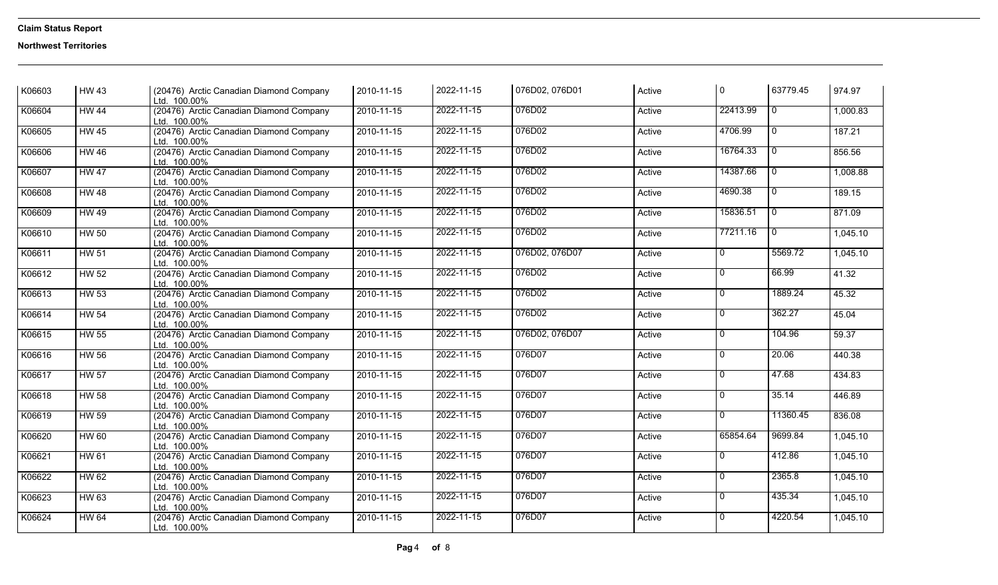| K06603 | <b>HW 43</b> | (20476) Arctic Canadian Diamond Company<br>Ltd. 100.00% | 2010-11-15 | 2022-11-15 | 076D02, 076D01 | Active | $\Omega$       | 63779.45       | 974.97   |
|--------|--------------|---------------------------------------------------------|------------|------------|----------------|--------|----------------|----------------|----------|
| K06604 | <b>HW 44</b> | (20476) Arctic Canadian Diamond Company<br>Ltd. 100.00% | 2010-11-15 | 2022-11-15 | 076D02         | Active | 22413.99       | $\overline{0}$ | 1,000.83 |
| K06605 | <b>HW 45</b> | (20476) Arctic Canadian Diamond Company<br>Ltd. 100.00% | 2010-11-15 | 2022-11-15 | 076D02         | Active | 4706.99        | 0              | 187.21   |
| K06606 | <b>HW 46</b> | (20476) Arctic Canadian Diamond Company<br>Ltd. 100.00% | 2010-11-15 | 2022-11-15 | 076D02         | Active | 16764.33       | $\overline{0}$ | 856.56   |
| K06607 | <b>HW 47</b> | (20476) Arctic Canadian Diamond Company<br>Ltd. 100.00% | 2010-11-15 | 2022-11-15 | 076D02         | Active | 14387.66       | $\overline{0}$ | 1,008.88 |
| K06608 | <b>HW 48</b> | (20476) Arctic Canadian Diamond Company<br>Ltd. 100.00% | 2010-11-15 | 2022-11-15 | 076D02         | Active | 4690.38        | $\mathbf{0}$   | 189.15   |
| K06609 | <b>HW 49</b> | (20476) Arctic Canadian Diamond Company<br>Ltd. 100.00% | 2010-11-15 | 2022-11-15 | 076D02         | Active | 15836.51       | $\overline{0}$ | 871.09   |
| K06610 | <b>HW 50</b> | (20476) Arctic Canadian Diamond Company<br>Ltd. 100.00% | 2010-11-15 | 2022-11-15 | 076D02         | Active | 77211.16       | $\overline{0}$ | 1,045.10 |
| K06611 | <b>HW 51</b> | (20476) Arctic Canadian Diamond Company<br>Ltd. 100.00% | 2010-11-15 | 2022-11-15 | 076D02, 076D07 | Active | 0              | 5569.72        | 1,045.10 |
| K06612 | HW 52        | (20476) Arctic Canadian Diamond Company<br>Ltd. 100.00% | 2010-11-15 | 2022-11-15 | 076D02         | Active | $\overline{0}$ | 66.99          | 41.32    |
| K06613 | <b>HW 53</b> | (20476) Arctic Canadian Diamond Company<br>Ltd. 100.00% | 2010-11-15 | 2022-11-15 | 076D02         | Active | $\overline{0}$ | 1889.24        | 45.32    |
| K06614 | <b>HW 54</b> | (20476) Arctic Canadian Diamond Company<br>Ltd. 100.00% | 2010-11-15 | 2022-11-15 | 076D02         | Active | 0              | 362.27         | 45.04    |
| K06615 | <b>HW 55</b> | (20476) Arctic Canadian Diamond Company<br>Ltd. 100.00% | 2010-11-15 | 2022-11-15 | 076D02, 076D07 | Active | $\overline{0}$ | 104.96         | 59.37    |
| K06616 | <b>HW 56</b> | (20476) Arctic Canadian Diamond Company<br>Ltd. 100.00% | 2010-11-15 | 2022-11-15 | 076D07         | Active | $\Omega$       | 20.06          | 440.38   |
| K06617 | <b>HW 57</b> | (20476) Arctic Canadian Diamond Company<br>Ltd. 100.00% | 2010-11-15 | 2022-11-15 | 076D07         | Active | $\Omega$       | 47.68          | 434.83   |
| K06618 | <b>HW 58</b> | (20476) Arctic Canadian Diamond Company<br>Ltd. 100.00% | 2010-11-15 | 2022-11-15 | 076D07         | Active | 0              | 35.14          | 446.89   |
| K06619 | HW 59        | (20476) Arctic Canadian Diamond Company<br>Ltd. 100.00% | 2010-11-15 | 2022-11-15 | 076D07         | Active | 0              | 11360.45       | 836.08   |
| K06620 | <b>HW 60</b> | (20476) Arctic Canadian Diamond Company<br>Ltd. 100.00% | 2010-11-15 | 2022-11-15 | 076D07         | Active | 65854.64       | 9699.84        | 1,045.10 |
| K06621 | <b>HW 61</b> | (20476) Arctic Canadian Diamond Company<br>Ltd. 100.00% | 2010-11-15 | 2022-11-15 | 076D07         | Active | 0              | 412.86         | 1,045.10 |
| K06622 | <b>HW 62</b> | (20476) Arctic Canadian Diamond Company<br>Ltd. 100.00% | 2010-11-15 | 2022-11-15 | 076D07         | Active | 0              | 2365.8         | 1,045.10 |
| K06623 | <b>HW 63</b> | (20476) Arctic Canadian Diamond Company<br>Ltd. 100.00% | 2010-11-15 | 2022-11-15 | 076D07         | Active | $\overline{0}$ | 435.34         | 1,045.10 |
| K06624 | <b>HW 64</b> | (20476) Arctic Canadian Diamond Company<br>Ltd. 100.00% | 2010-11-15 | 2022-11-15 | 076D07         | Active | <sup>0</sup>   | 4220.54        | 1,045.10 |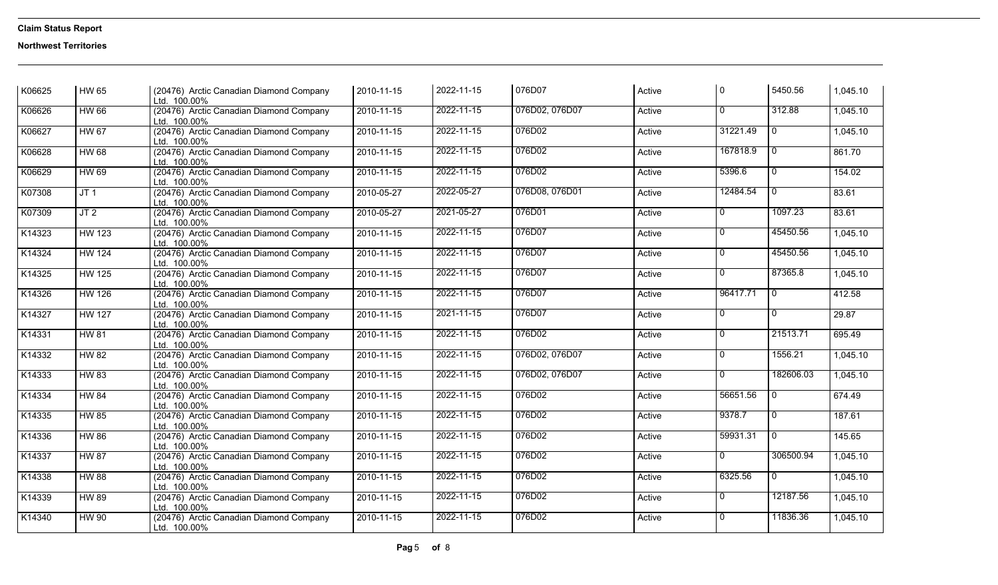| K06625 | HW 65           | (20476) Arctic Canadian Diamond Company<br>Ltd. 100.00% | 2010-11-15 | 2022-11-15 | 076D07         | Active | l 0            | 5450.56                   | 1,045.10 |
|--------|-----------------|---------------------------------------------------------|------------|------------|----------------|--------|----------------|---------------------------|----------|
| K06626 | <b>HW 66</b>    | (20476) Arctic Canadian Diamond Company<br>Ltd. 100.00% | 2010-11-15 | 2022-11-15 | 076D02, 076D07 | Active | $\overline{0}$ | 312.88                    | 1,045.10 |
| K06627 | <b>HW 67</b>    | (20476) Arctic Canadian Diamond Company<br>Ltd. 100.00% | 2010-11-15 | 2022-11-15 | 076D02         | Active | 31221.49       | $\overline{0}$            | 1,045.10 |
| K06628 | <b>HW 68</b>    | (20476) Arctic Canadian Diamond Company<br>Ltd. 100.00% | 2010-11-15 | 2022-11-15 | 076D02         | Active | 167818.9       | $\overline{0}$            | 861.70   |
| K06629 | <b>HW 69</b>    | (20476) Arctic Canadian Diamond Company<br>Ltd. 100.00% | 2010-11-15 | 2022-11-15 | 076D02         | Active | 5396.6         | o                         | 154.02   |
| K07308 | JT <sub>1</sub> | (20476) Arctic Canadian Diamond Company<br>Ltd. 100.00% | 2010-05-27 | 2022-05-27 | 076D08, 076D01 | Active | 12484.54       | $\overline{\circ}$        | 83.61    |
| K07309 | JT <sub>2</sub> | (20476) Arctic Canadian Diamond Company<br>Ltd. 100.00% | 2010-05-27 | 2021-05-27 | 076D01         | Active | $\overline{0}$ | 1097.23                   | 83.61    |
| K14323 | <b>HW 123</b>   | (20476) Arctic Canadian Diamond Company<br>Ltd. 100.00% | 2010-11-15 | 2022-11-15 | 076D07         | Active | $\mathbf{0}$   | 45450.56                  | 1,045.10 |
| K14324 | <b>HW 124</b>   | (20476) Arctic Canadian Diamond Company<br>Ltd. 100.00% | 2010-11-15 | 2022-11-15 | 076D07         | Active | $\overline{0}$ | 45450.56                  | 1,045.10 |
| K14325 | <b>HW 125</b>   | (20476) Arctic Canadian Diamond Company<br>Ltd. 100.00% | 2010-11-15 | 2022-11-15 | 076D07         | Active | $\overline{0}$ | 87365.8                   | 1,045.10 |
| K14326 | <b>HW 126</b>   | (20476) Arctic Canadian Diamond Company<br>Ltd. 100.00% | 2010-11-15 | 2022-11-15 | 076D07         | Active | 96417.71       | l 0                       | 412.58   |
| K14327 | <b>HW 127</b>   | (20476) Arctic Canadian Diamond Company<br>Ltd. 100.00% | 2010-11-15 | 2021-11-15 | 076D07         | Active | $\overline{0}$ | $\overline{\mathfrak{o}}$ | 29.87    |
| K14331 | <b>HW 81</b>    | (20476) Arctic Canadian Diamond Company<br>Ltd. 100.00% | 2010-11-15 | 2022-11-15 | 076D02         | Active | $\mathbf{0}$   | 21513.71                  | 695.49   |
| K14332 | <b>HW 82</b>    | (20476) Arctic Canadian Diamond Company<br>Ltd. 100.00% | 2010-11-15 | 2022-11-15 | 076D02, 076D07 | Active | $\overline{0}$ | 1556.21                   | 1,045.10 |
| K14333 | <b>HW 83</b>    | (20476) Arctic Canadian Diamond Company<br>Ltd. 100.00% | 2010-11-15 | 2022-11-15 | 076D02, 076D07 | Active | $\overline{0}$ | 182606.03                 | 1,045.10 |
| K14334 | <b>HW 84</b>    | (20476) Arctic Canadian Diamond Company<br>Ltd. 100.00% | 2010-11-15 | 2022-11-15 | 076D02         | Active | 56651.56       | $\overline{0}$            | 674.49   |
| K14335 | <b>HW 85</b>    | (20476) Arctic Canadian Diamond Company<br>Ltd. 100.00% | 2010-11-15 | 2022-11-15 | 076D02         | Active | 9378.7         | $\overline{0}$            | 187.61   |
| K14336 | <b>HW 86</b>    | (20476) Arctic Canadian Diamond Company<br>Ltd. 100.00% | 2010-11-15 | 2022-11-15 | 076D02         | Active | 59931.31       | <b>O</b>                  | 145.65   |
| K14337 | <b>HW 87</b>    | (20476) Arctic Canadian Diamond Company<br>Ltd. 100.00% | 2010-11-15 | 2022-11-15 | 076D02         | Active | $\overline{0}$ | 306500.94                 | 1,045.10 |
| K14338 | <b>HW 88</b>    | (20476) Arctic Canadian Diamond Company<br>Ltd. 100.00% | 2010-11-15 | 2022-11-15 | 076D02         | Active | 6325.56        | $\overline{0}$            | 1,045.10 |
| K14339 | <b>HW 89</b>    | (20476) Arctic Canadian Diamond Company<br>Ltd. 100.00% | 2010-11-15 | 2022-11-15 | 076D02         | Active | $\overline{0}$ | 12187.56                  | 1,045.10 |
| K14340 | <b>HW 90</b>    | (20476) Arctic Canadian Diamond Company<br>Ltd. 100.00% | 2010-11-15 | 2022-11-15 | 076D02         | Active | $\Omega$       | 11836.36                  | 1,045.10 |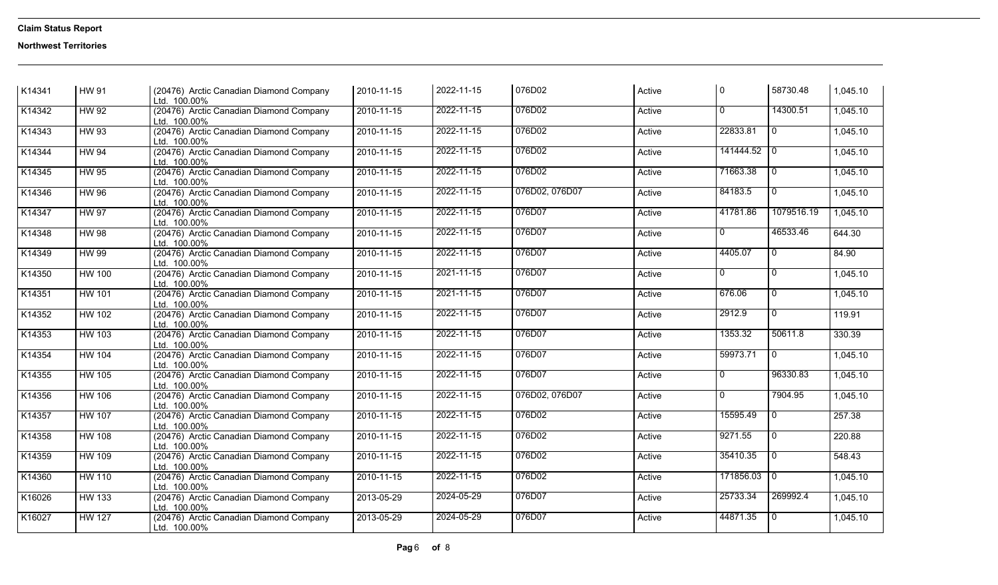| K14341 | <b>HW 91</b>  | (20476) Arctic Canadian Diamond Company<br>Ltd. 100.00% | 2010-11-15 | 2022-11-15 | 076D02         | Active | l 0            | 58730.48       | 1,045.10 |
|--------|---------------|---------------------------------------------------------|------------|------------|----------------|--------|----------------|----------------|----------|
| K14342 | <b>HW 92</b>  | (20476) Arctic Canadian Diamond Company<br>Ltd. 100.00% | 2010-11-15 | 2022-11-15 | 076D02         | Active | $\overline{0}$ | 14300.51       | 1,045.10 |
| K14343 | <b>HW 93</b>  | (20476) Arctic Canadian Diamond Company<br>Ltd. 100.00% | 2010-11-15 | 2022-11-15 | 076D02         | Active | 22833.81       | $\overline{0}$ | 1,045.10 |
| K14344 | <b>HW 94</b>  | (20476) Arctic Canadian Diamond Company<br>Ltd. 100.00% | 2010-11-15 | 2022-11-15 | 076D02         | Active | 141444.52 0    |                | 1,045.10 |
| K14345 | <b>HW 95</b>  | (20476) Arctic Canadian Diamond Company<br>Ltd. 100.00% | 2010-11-15 | 2022-11-15 | 076D02         | Active | 71663.38       | $\overline{0}$ | 1,045.10 |
| K14346 | <b>HW 96</b>  | (20476) Arctic Canadian Diamond Company<br>Ltd. 100.00% | 2010-11-15 | 2022-11-15 | 076D02, 076D07 | Active | 84183.5        | $\overline{0}$ | 1,045.10 |
| K14347 | <b>HW 97</b>  | (20476) Arctic Canadian Diamond Company<br>Ltd. 100.00% | 2010-11-15 | 2022-11-15 | 076D07         | Active | 41781.86       | 1079516.19     | 1,045.10 |
| K14348 | <b>HW 98</b>  | (20476) Arctic Canadian Diamond Company<br>Ltd. 100.00% | 2010-11-15 | 2022-11-15 | 076D07         | Active | 0              | 46533.46       | 644.30   |
| K14349 | <b>HW 99</b>  | (20476) Arctic Canadian Diamond Company<br>Ltd. 100.00% | 2010-11-15 | 2022-11-15 | 076D07         | Active | 4405.07        | o              | 84.90    |
| K14350 | <b>HW 100</b> | (20476) Arctic Canadian Diamond Company<br>Ltd. 100.00% | 2010-11-15 | 2021-11-15 | 076D07         | Active | $\Omega$       | $\overline{0}$ | 1,045.10 |
| K14351 | <b>HW 101</b> | (20476) Arctic Canadian Diamond Company<br>Ltd. 100.00% | 2010-11-15 | 2021-11-15 | 076D07         | Active | 676.06         | $\mathbf{0}$   | 1,045.10 |
| K14352 | <b>HW 102</b> | (20476) Arctic Canadian Diamond Company<br>Ltd. 100.00% | 2010-11-15 | 2022-11-15 | 076D07         | Active | 2912.9         | $\overline{0}$ | 119.91   |
| K14353 | <b>HW 103</b> | (20476) Arctic Canadian Diamond Company<br>Ltd. 100.00% | 2010-11-15 | 2022-11-15 | 076D07         | Active | 1353.32        | 50611.8        | 330.39   |
| K14354 | <b>HW 104</b> | (20476) Arctic Canadian Diamond Company<br>Ltd. 100.00% | 2010-11-15 | 2022-11-15 | 076D07         | Active | 59973.71       | $\overline{0}$ | 1,045.10 |
| K14355 | <b>HW 105</b> | (20476) Arctic Canadian Diamond Company<br>Ltd. 100.00% | 2010-11-15 | 2022-11-15 | 076D07         | Active | $\overline{0}$ | 96330.83       | 1,045.10 |
| K14356 | <b>HW 106</b> | (20476) Arctic Canadian Diamond Company<br>Ltd. 100.00% | 2010-11-15 | 2022-11-15 | 076D02, 076D07 | Active | $\overline{0}$ | 7904.95        | 1,045.10 |
| K14357 | <b>HW 107</b> | (20476) Arctic Canadian Diamond Company<br>Ltd. 100.00% | 2010-11-15 | 2022-11-15 | 076D02         | Active | 15595.49       | $\overline{0}$ | 257.38   |
| K14358 | <b>HW 108</b> | (20476) Arctic Canadian Diamond Company<br>Ltd. 100.00% | 2010-11-15 | 2022-11-15 | 076D02         | Active | 9271.55        | $\overline{0}$ | 220.88   |
| K14359 | <b>HW 109</b> | (20476) Arctic Canadian Diamond Company<br>Ltd. 100.00% | 2010-11-15 | 2022-11-15 | 076D02         | Active | 35410.35       | $\overline{0}$ | 548.43   |
| K14360 | <b>HW 110</b> | (20476) Arctic Canadian Diamond Company<br>Ltd. 100.00% | 2010-11-15 | 2022-11-15 | 076D02         | Active | 171856.03 0    |                | 1,045.10 |
| K16026 | <b>HW 133</b> | (20476) Arctic Canadian Diamond Company<br>Ltd. 100.00% | 2013-05-29 | 2024-05-29 | 076D07         | Active | 25733.34       | 269992.4       | 1,045.10 |
| K16027 | <b>HW 127</b> | (20476) Arctic Canadian Diamond Company<br>Ltd. 100.00% | 2013-05-29 | 2024-05-29 | 076D07         | Active | 44871.35       | l 0            | 1,045.10 |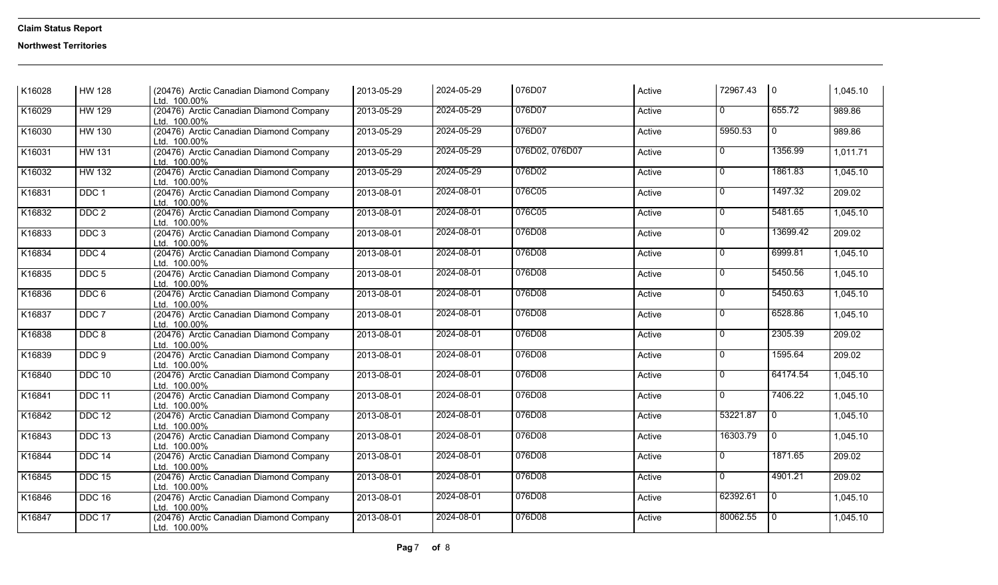| K16028             | <b>HW</b> 128    | (20476) Arctic Canadian Diamond Company<br>Ltd. 100.00% | 2013-05-29 | 2024-05-29 | 076D07         | Active | 72967.43       | 0              | 1,045.10 |
|--------------------|------------------|---------------------------------------------------------|------------|------------|----------------|--------|----------------|----------------|----------|
| K16029             | <b>HW 129</b>    | (20476) Arctic Canadian Diamond Company<br>Ltd. 100.00% | 2013-05-29 | 2024-05-29 | 076D07         | Active | $\overline{0}$ | 655.72         | 989.86   |
| K16030             | <b>HW 130</b>    | (20476) Arctic Canadian Diamond Company<br>Ltd. 100.00% | 2013-05-29 | 2024-05-29 | 076D07         | Active | 5950.53        | $\overline{0}$ | 989.86   |
| K16031             | <b>HW 131</b>    | (20476) Arctic Canadian Diamond Company<br>Ltd. 100.00% | 2013-05-29 | 2024-05-29 | 076D02, 076D07 | Active | $\overline{0}$ | 1356.99        | 1,011.71 |
| K16032             | <b>HW 132</b>    | (20476) Arctic Canadian Diamond Company<br>Ltd. 100.00% | 2013-05-29 | 2024-05-29 | 076D02         | Active | $\overline{0}$ | 1861.83        | 1,045.10 |
| K16831             | DDC <sub>1</sub> | (20476) Arctic Canadian Diamond Company<br>Ltd. 100.00% | 2013-08-01 | 2024-08-01 | 076C05         | Active | $\overline{0}$ | 1497.32        | 209.02   |
| K <sub>16832</sub> | DDC <sub>2</sub> | (20476) Arctic Canadian Diamond Company<br>Ltd. 100.00% | 2013-08-01 | 2024-08-01 | 076C05         | Active | $\overline{0}$ | 5481.65        | 1,045.10 |
| K16833             | DDC <sub>3</sub> | (20476) Arctic Canadian Diamond Company<br>Ltd. 100.00% | 2013-08-01 | 2024-08-01 | 076D08         | Active | $\overline{0}$ | 13699.42       | 209.02   |
| K16834             | DDC <sub>4</sub> | (20476) Arctic Canadian Diamond Company<br>Ltd. 100.00% | 2013-08-01 | 2024-08-01 | 076D08         | Active | $\overline{0}$ | 6999.81        | 1,045.10 |
| K16835             | DDC <sub>5</sub> | (20476) Arctic Canadian Diamond Company<br>Ltd. 100.00% | 2013-08-01 | 2024-08-01 | 076D08         | Active | $\overline{0}$ | 5450.56        | 1,045.10 |
| K16836             | DDC 6            | (20476) Arctic Canadian Diamond Company<br>Ltd. 100.00% | 2013-08-01 | 2024-08-01 | 076D08         | Active | $\overline{0}$ | 5450.63        | 1,045.10 |
| K16837             | DDC 7            | (20476) Arctic Canadian Diamond Company<br>Ltd. 100.00% | 2013-08-01 | 2024-08-01 | 076D08         | Active | $\overline{0}$ | 6528.86        | 1,045.10 |
| K16838             | DDC <sub>8</sub> | (20476) Arctic Canadian Diamond Company<br>Ltd. 100.00% | 2013-08-01 | 2024-08-01 | 076D08         | Active | 0              | 2305.39        | 209.02   |
| K16839             | DDC <sub>9</sub> | (20476) Arctic Canadian Diamond Company<br>Ltd. 100.00% | 2013-08-01 | 2024-08-01 | 076D08         | Active | $\overline{0}$ | 1595.64        | 209.02   |
| K16840             | <b>DDC 10</b>    | (20476) Arctic Canadian Diamond Company<br>Ltd. 100.00% | 2013-08-01 | 2024-08-01 | 076D08         | Active | $\overline{0}$ | 64174.54       | 1,045.10 |
| K16841             | DDC 11           | (20476) Arctic Canadian Diamond Company<br>Ltd. 100.00% | 2013-08-01 | 2024-08-01 | 076D08         | Active | $\Omega$       | 7406.22        | 1,045.10 |
| K16842             | <b>DDC 12</b>    | (20476) Arctic Canadian Diamond Company<br>Ltd. 100.00% | 2013-08-01 | 2024-08-01 | 076D08         | Active | 53221.87       | $\mathbf 0$    | 1,045.10 |
| K16843             | <b>DDC 13</b>    | (20476) Arctic Canadian Diamond Company<br>Ltd. 100.00% | 2013-08-01 | 2024-08-01 | 076D08         | Active | 16303.79       | $\overline{0}$ | 1,045.10 |
| K16844             | DDC 14           | (20476) Arctic Canadian Diamond Company<br>Ltd. 100.00% | 2013-08-01 | 2024-08-01 | 076D08         | Active | 0              | 1871.65        | 209.02   |
| K16845             | <b>DDC 15</b>    | (20476) Arctic Canadian Diamond Company<br>Ltd. 100.00% | 2013-08-01 | 2024-08-01 | 076D08         | Active | 0              | 4901.21        | 209.02   |
| K16846             | <b>DDC 16</b>    | (20476) Arctic Canadian Diamond Company<br>Ltd. 100.00% | 2013-08-01 | 2024-08-01 | 076D08         | Active | 62392.61       | $\overline{0}$ | 1,045.10 |
| K16847             | DDC 17           | (20476) Arctic Canadian Diamond Company<br>Ltd. 100.00% | 2013-08-01 | 2024-08-01 | 076D08         | Active | 80062.55       | $\overline{0}$ | 1,045.10 |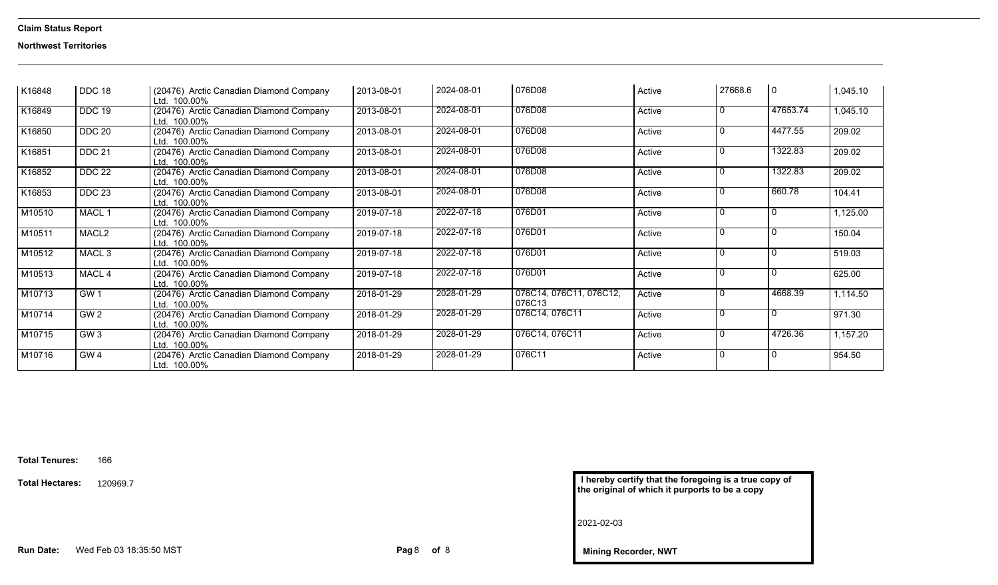### **Northwest Territories**

| K16848 | DDC 18            | (20476) Arctic Canadian Diamond Company<br>Ltd. 100.00% | 2013-08-01       | 2024-08-01 | 076D08                            | Active | 27668.6      | $\overline{0}$ | 1,045.10 |
|--------|-------------------|---------------------------------------------------------|------------------|------------|-----------------------------------|--------|--------------|----------------|----------|
| K16849 | DDC 19            | (20476) Arctic Canadian Diamond Company<br>Ltd. 100.00% | 2013-08-01       | 2024-08-01 | 076D08                            | Active | $\Omega$     | 47653.74       | 1,045.10 |
| K16850 | <b>DDC 20</b>     | (20476) Arctic Canadian Diamond Company<br>Ltd. 100.00% | 2013-08-01       | 2024-08-01 | 076D08                            | Active | $\Omega$     | 4477.55        | 209.02   |
| K16851 | <b>DDC 21</b>     | (20476) Arctic Canadian Diamond Company<br>Ltd. 100.00% | $2013 - 08 - 01$ | 2024-08-01 | 076D08                            | Active | $\Omega$     | 1322.83        | 209.02   |
| K16852 | <b>DDC 22</b>     | (20476) Arctic Canadian Diamond Company<br>Ltd. 100.00% | 2013-08-01       | 2024-08-01 | 076D08                            | Active | $\mathbf{0}$ | 1322.83        | 209.02   |
| K16853 | <b>DDC 23</b>     | (20476) Arctic Canadian Diamond Company<br>Ltd. 100.00% | 2013-08-01       | 2024-08-01 | 076D08                            | Active | $\Omega$     | 660.78         | 104.41   |
| M10510 | MACL 1            | (20476) Arctic Canadian Diamond Company<br>Ltd. 100.00% | 2019-07-18       | 2022-07-18 | 076D01                            | Active | ∩            | $\Omega$       | 1,125.00 |
| M10511 | MACL <sub>2</sub> | (20476) Arctic Canadian Diamond Company<br>Ltd. 100.00% | 2019-07-18       | 2022-07-18 | 076D01                            | Active | $\Omega$     | ∩              | 150.04   |
| M10512 | MACL <sub>3</sub> | (20476) Arctic Canadian Diamond Company<br>Ltd. 100.00% | 2019-07-18       | 2022-07-18 | 076D01                            | Active | ∩            | ∩              | 519.03   |
| M10513 | MACL 4            | (20476) Arctic Canadian Diamond Company<br>Ltd. 100.00% | 2019-07-18       | 2022-07-18 | 076D01                            | Active | $\Omega$     | $\mathbf{0}$   | 625.00   |
| M10713 | GW <sub>1</sub>   | (20476) Arctic Canadian Diamond Company<br>Ltd. 100.00% | 2018-01-29       | 2028-01-29 | 076C14, 076C11, 076C12,<br>076C13 | Active | $\Omega$     | 4668.39        | 1,114.50 |
| M10714 | GW <sub>2</sub>   | (20476) Arctic Canadian Diamond Company<br>Ltd. 100.00% | 2018-01-29       | 2028-01-29 | 076C14, 076C11                    | Active | $\Omega$     | $\Omega$       | 971.30   |
| M10715 | GW3               | (20476) Arctic Canadian Diamond Company<br>Ltd. 100.00% | 2018-01-29       | 2028-01-29 | 076C14, 076C11                    | Active |              | 4726.36        | 1,157.20 |
| M10716 | GW <sub>4</sub>   | (20476) Arctic Canadian Diamond Company<br>Ltd. 100.00% | 2018-01-29       | 2028-01-29 | 076C11                            | Active | $\Omega$     | $\Omega$       | 954.50   |

| I hereby certify that the foregoing is a true copy of |  |
|-------------------------------------------------------|--|
| the original of which it purports to be a copy        |  |

**Mining Recorder, NWT**

2021-02-03

**Total Tenures:**<sup>166</sup>

**Total Hectares:**120969.7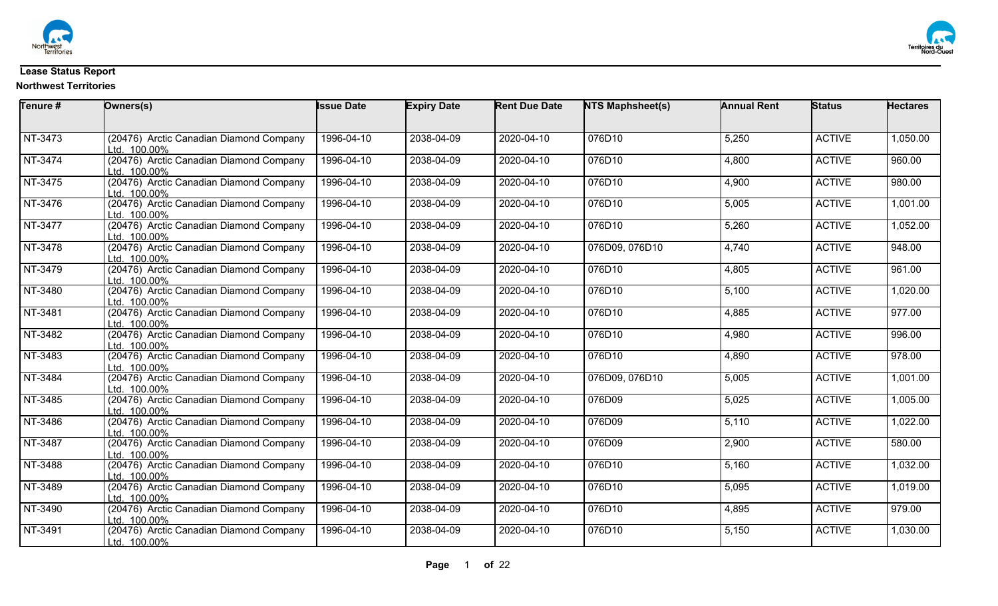



### **Lease Status Report**

| Tenure # | Owners(s)                                               | <b>Issue Date</b> | <b>Expiry Date</b> | <b>Rent Due Date</b> | <b>NTS Maphsheet(s)</b> | <b>Annual Rent</b> | <b>Status</b> | <b>Hectares</b>     |
|----------|---------------------------------------------------------|-------------------|--------------------|----------------------|-------------------------|--------------------|---------------|---------------------|
|          |                                                         |                   |                    |                      |                         |                    |               |                     |
| NT-3473  | (20476) Arctic Canadian Diamond Company<br>Ltd. 100.00% | 1996-04-10        | 2038-04-09         | 2020-04-10           | 076D10                  | 5,250              | <b>ACTIVE</b> | 1,050.00            |
| NT-3474  | (20476) Arctic Canadian Diamond Company<br>Ltd. 100.00% | 1996-04-10        | 2038-04-09         | 2020-04-10           | 076D10                  | 4,800              | <b>ACTIVE</b> | 960.00              |
| NT-3475  | (20476) Arctic Canadian Diamond Company<br>Ltd. 100.00% | 1996-04-10        | 2038-04-09         | 2020-04-10           | 076D10                  | 4,900              | <b>ACTIVE</b> | 980.00              |
| NT-3476  | (20476) Arctic Canadian Diamond Company<br>Ltd. 100.00% | 1996-04-10        | 2038-04-09         | 2020-04-10           | 076D10                  | 5,005              | <b>ACTIVE</b> | 1,001.00            |
| NT-3477  | (20476) Arctic Canadian Diamond Company<br>Ltd. 100.00% | 1996-04-10        | 2038-04-09         | 2020-04-10           | 076D10                  | 5,260              | <b>ACTIVE</b> | 1,052.00            |
| NT-3478  | (20476) Arctic Canadian Diamond Company<br>Ltd. 100.00% | 1996-04-10        | 2038-04-09         | 2020-04-10           | 076D09, 076D10          | 4,740              | <b>ACTIVE</b> | $\frac{1}{948.00}$  |
| NT-3479  | (20476) Arctic Canadian Diamond Company<br>Ltd. 100.00% | 1996-04-10        | 2038-04-09         | 2020-04-10           | 076D10                  | 4,805              | <b>ACTIVE</b> | 961.00              |
| NT-3480  | (20476) Arctic Canadian Diamond Company<br>Ltd. 100.00% | 1996-04-10        | 2038-04-09         | 2020-04-10           | 076D10                  | 5,100              | <b>ACTIVE</b> | 1,020.00            |
| NT-3481  | (20476) Arctic Canadian Diamond Company<br>Ltd. 100.00% | 1996-04-10        | 2038-04-09         | $2020 - 04 - 10$     | 076D10                  | 4,885              | <b>ACTIVE</b> | 977.00              |
| NT-3482  | (20476) Arctic Canadian Diamond Company<br>Ltd. 100.00% | 1996-04-10        | 2038-04-09         | 2020-04-10           | 076D10                  | 4,980              | <b>ACTIVE</b> | 996.00              |
| NT-3483  | (20476) Arctic Canadian Diamond Company<br>Ltd. 100.00% | 1996-04-10        | 2038-04-09         | 2020-04-10           | 076D10                  | 4,890              | <b>ACTIVE</b> | 978.00              |
| NT-3484  | (20476) Arctic Canadian Diamond Company<br>Ltd. 100.00% | 1996-04-10        | 2038-04-09         | $2020 - 04 - 10$     | 076D09, 076D10          | 5,005              | <b>ACTIVE</b> | 1,001.00            |
| NT-3485  | (20476) Arctic Canadian Diamond Company<br>Ltd. 100.00% | 1996-04-10        | 2038-04-09         | 2020-04-10           | 076D09                  | 5,025              | <b>ACTIVE</b> | 1,005.00            |
| NT-3486  | (20476) Arctic Canadian Diamond Company<br>Ltd. 100.00% | 1996-04-10        | 2038-04-09         | 2020-04-10           | 076D09                  | 5,110              | <b>ACTIVE</b> | 1,022.00            |
| NT-3487  | (20476) Arctic Canadian Diamond Company<br>Ltd. 100.00% | 1996-04-10        | 2038-04-09         | 2020-04-10           | 076D09                  | 2,900              | <b>ACTIVE</b> | $\overline{580.00}$ |
| NT-3488  | (20476) Arctic Canadian Diamond Company<br>Ltd. 100.00% | 1996-04-10        | 2038-04-09         | 2020-04-10           | 076D10                  | 5,160              | <b>ACTIVE</b> | 1,032.00            |
| NT-3489  | (20476) Arctic Canadian Diamond Company<br>Ltd. 100.00% | 1996-04-10        | 2038-04-09         | 2020-04-10           | 076D10                  | 5,095              | <b>ACTIVE</b> | 1,019.00            |
| NT-3490  | (20476) Arctic Canadian Diamond Company<br>Ltd. 100.00% | 1996-04-10        | 2038-04-09         | 2020-04-10           | 076D10                  | 4,895              | <b>ACTIVE</b> | 979.00              |
| NT-3491  | (20476) Arctic Canadian Diamond Company<br>Ltd. 100.00% | 1996-04-10        | 2038-04-09         | 2020-04-10           | 076D10                  | 5,150              | <b>ACTIVE</b> | 1,030.00            |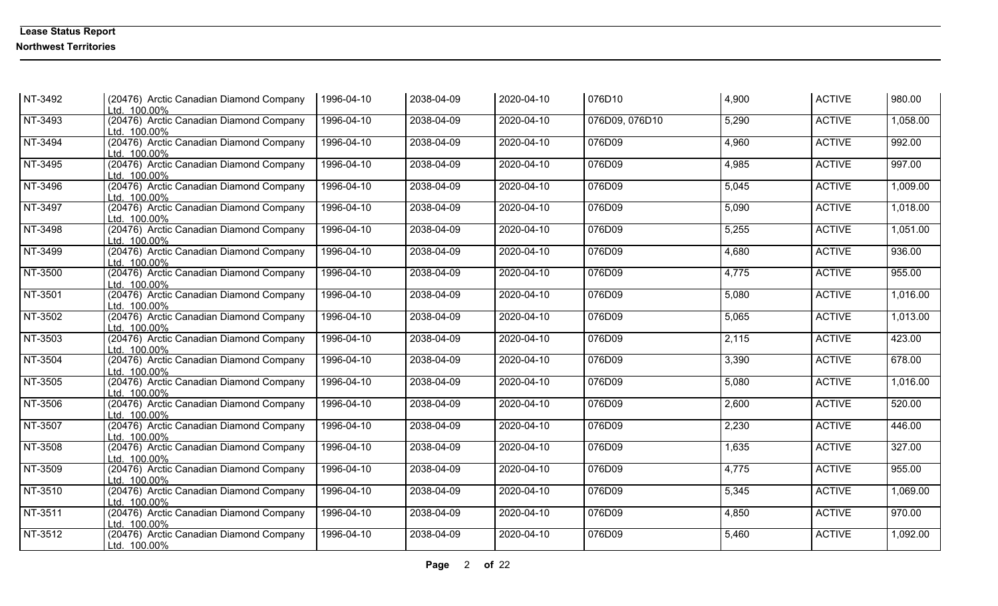| NT-3492   | (20476) Arctic Canadian Diamond Company<br>Ltd. 100.00% | 1996-04-10 | 2038-04-09 | 2020-04-10 | 076D10         | 4,900 | <b>ACTIVE</b> | 980.00   |
|-----------|---------------------------------------------------------|------------|------------|------------|----------------|-------|---------------|----------|
| NT-3493   | (20476) Arctic Canadian Diamond Company<br>Ltd. 100.00% | 1996-04-10 | 2038-04-09 | 2020-04-10 | 076D09, 076D10 | 5,290 | <b>ACTIVE</b> | 1,058.00 |
| NT-3494   | (20476) Arctic Canadian Diamond Company<br>Ltd. 100.00% | 1996-04-10 | 2038-04-09 | 2020-04-10 | 076D09         | 4,960 | <b>ACTIVE</b> | 992.00   |
| NT-3495   | (20476) Arctic Canadian Diamond Company<br>Ltd. 100.00% | 1996-04-10 | 2038-04-09 | 2020-04-10 | 076D09         | 4,985 | <b>ACTIVE</b> | 997.00   |
| NT-3496   | (20476) Arctic Canadian Diamond Company<br>Ltd. 100.00% | 1996-04-10 | 2038-04-09 | 2020-04-10 | 076D09         | 5,045 | <b>ACTIVE</b> | 1,009.00 |
| NT-3497   | (20476) Arctic Canadian Diamond Company<br>Ltd. 100.00% | 1996-04-10 | 2038-04-09 | 2020-04-10 | 076D09         | 5,090 | <b>ACTIVE</b> | 1,018.00 |
| NT-3498   | (20476) Arctic Canadian Diamond Company<br>Ltd. 100.00% | 1996-04-10 | 2038-04-09 | 2020-04-10 | 076D09         | 5,255 | <b>ACTIVE</b> | 1,051.00 |
| NT-3499   | (20476) Arctic Canadian Diamond Company<br>Ltd. 100.00% | 1996-04-10 | 2038-04-09 | 2020-04-10 | 076D09         | 4,680 | <b>ACTIVE</b> | 936.00   |
| NT-3500   | (20476) Arctic Canadian Diamond Company<br>Ltd. 100.00% | 1996-04-10 | 2038-04-09 | 2020-04-10 | 076D09         | 4,775 | <b>ACTIVE</b> | 955.00   |
| NT-3501   | (20476) Arctic Canadian Diamond Company<br>Ltd. 100.00% | 1996-04-10 | 2038-04-09 | 2020-04-10 | 076D09         | 5,080 | <b>ACTIVE</b> | 1,016.00 |
| NT-3502   | (20476) Arctic Canadian Diamond Company<br>Ltd. 100.00% | 1996-04-10 | 2038-04-09 | 2020-04-10 | 076D09         | 5,065 | <b>ACTIVE</b> | 1,013.00 |
| NT-3503   | (20476) Arctic Canadian Diamond Company<br>Ltd. 100.00% | 1996-04-10 | 2038-04-09 | 2020-04-10 | 076D09         | 2,115 | <b>ACTIVE</b> | 423.00   |
| NT-3504   | (20476) Arctic Canadian Diamond Company<br>Ltd. 100.00% | 1996-04-10 | 2038-04-09 | 2020-04-10 | 076D09         | 3,390 | <b>ACTIVE</b> | 678.00   |
| NT-3505   | (20476) Arctic Canadian Diamond Company<br>Ltd. 100.00% | 1996-04-10 | 2038-04-09 | 2020-04-10 | 076D09         | 5,080 | <b>ACTIVE</b> | 1,016.00 |
| NT-3506   | (20476) Arctic Canadian Diamond Company<br>Ltd. 100.00% | 1996-04-10 | 2038-04-09 | 2020-04-10 | 076D09         | 2,600 | <b>ACTIVE</b> | 520.00   |
| NT-3507   | (20476) Arctic Canadian Diamond Company<br>Ltd. 100.00% | 1996-04-10 | 2038-04-09 | 2020-04-10 | 076D09         | 2,230 | <b>ACTIVE</b> | 446.00   |
| NT-3508   | (20476) Arctic Canadian Diamond Company<br>Ltd. 100.00% | 1996-04-10 | 2038-04-09 | 2020-04-10 | 076D09         | 1,635 | <b>ACTIVE</b> | 327.00   |
| NT-3509   | (20476) Arctic Canadian Diamond Company<br>Ltd. 100.00% | 1996-04-10 | 2038-04-09 | 2020-04-10 | 076D09         | 4,775 | <b>ACTIVE</b> | 955.00   |
| NT-3510   | (20476) Arctic Canadian Diamond Company<br>Ltd. 100.00% | 1996-04-10 | 2038-04-09 | 2020-04-10 | 076D09         | 5,345 | <b>ACTIVE</b> | 1,069.00 |
| $NT-3511$ | (20476) Arctic Canadian Diamond Company<br>Ltd. 100.00% | 1996-04-10 | 2038-04-09 | 2020-04-10 | 076D09         | 4,850 | <b>ACTIVE</b> | 970.00   |
| NT-3512   | (20476) Arctic Canadian Diamond Company<br>Ltd. 100.00% | 1996-04-10 | 2038-04-09 | 2020-04-10 | 076D09         | 5,460 | <b>ACTIVE</b> | 1,092.00 |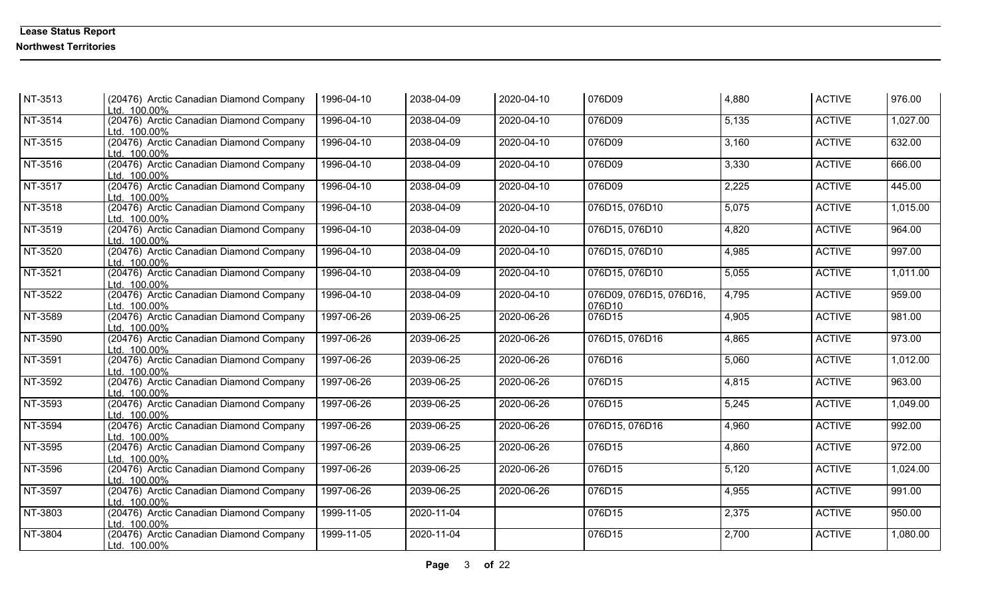| NT-3513 | (20476) Arctic Canadian Diamond Company<br>Ltd. 100.00% | 1996-04-10 | 2038-04-09 | 2020-04-10 | 076D09                            | 4,880 | <b>ACTIVE</b> | 976.00   |
|---------|---------------------------------------------------------|------------|------------|------------|-----------------------------------|-------|---------------|----------|
| NT-3514 | (20476) Arctic Canadian Diamond Company<br>Ltd. 100.00% | 1996-04-10 | 2038-04-09 | 2020-04-10 | 076D09                            | 5,135 | <b>ACTIVE</b> | 1,027.00 |
| NT-3515 | (20476) Arctic Canadian Diamond Company<br>Ltd. 100.00% | 1996-04-10 | 2038-04-09 | 2020-04-10 | 076D09                            | 3,160 | <b>ACTIVE</b> | 632.00   |
| NT-3516 | (20476) Arctic Canadian Diamond Company<br>Ltd. 100.00% | 1996-04-10 | 2038-04-09 | 2020-04-10 | 076D09                            | 3,330 | <b>ACTIVE</b> | 666.00   |
| NT-3517 | (20476) Arctic Canadian Diamond Company<br>Ltd. 100.00% | 1996-04-10 | 2038-04-09 | 2020-04-10 | 076D09                            | 2,225 | <b>ACTIVE</b> | 445.00   |
| NT-3518 | (20476) Arctic Canadian Diamond Company<br>Ltd. 100.00% | 1996-04-10 | 2038-04-09 | 2020-04-10 | 076D15, 076D10                    | 5,075 | <b>ACTIVE</b> | 1,015.00 |
| NT-3519 | (20476) Arctic Canadian Diamond Company<br>Ltd. 100.00% | 1996-04-10 | 2038-04-09 | 2020-04-10 | 076D15, 076D10                    | 4,820 | <b>ACTIVE</b> | 964.00   |
| NT-3520 | (20476) Arctic Canadian Diamond Company<br>Ltd. 100.00% | 1996-04-10 | 2038-04-09 | 2020-04-10 | 076D15, 076D10                    | 4,985 | <b>ACTIVE</b> | 997.00   |
| NT-3521 | (20476) Arctic Canadian Diamond Company<br>Ltd. 100.00% | 1996-04-10 | 2038-04-09 | 2020-04-10 | 076D15, 076D10                    | 5,055 | <b>ACTIVE</b> | 1,011.00 |
| NT-3522 | (20476) Arctic Canadian Diamond Company<br>Ltd. 100.00% | 1996-04-10 | 2038-04-09 | 2020-04-10 | 076D09, 076D15, 076D16,<br>076D10 | 4,795 | <b>ACTIVE</b> | 959.00   |
| NT-3589 | (20476) Arctic Canadian Diamond Company<br>Ltd. 100.00% | 1997-06-26 | 2039-06-25 | 2020-06-26 | 076D15                            | 4,905 | <b>ACTIVE</b> | 981.00   |
| NT-3590 | (20476) Arctic Canadian Diamond Company<br>Ltd. 100.00% | 1997-06-26 | 2039-06-25 | 2020-06-26 | 076D15, 076D16                    | 4,865 | <b>ACTIVE</b> | 973.00   |
| NT-3591 | (20476) Arctic Canadian Diamond Company<br>Ltd. 100.00% | 1997-06-26 | 2039-06-25 | 2020-06-26 | 076D16                            | 5,060 | <b>ACTIVE</b> | 1,012.00 |
| NT-3592 | (20476) Arctic Canadian Diamond Company<br>Ltd. 100.00% | 1997-06-26 | 2039-06-25 | 2020-06-26 | 076D15                            | 4,815 | <b>ACTIVE</b> | 963.00   |
| NT-3593 | (20476) Arctic Canadian Diamond Company<br>Ltd. 100.00% | 1997-06-26 | 2039-06-25 | 2020-06-26 | 076D15                            | 5,245 | <b>ACTIVE</b> | 1,049.00 |
| NT-3594 | (20476) Arctic Canadian Diamond Company<br>Ltd. 100.00% | 1997-06-26 | 2039-06-25 | 2020-06-26 | 076D15, 076D16                    | 4,960 | <b>ACTIVE</b> | 992.00   |
| NT-3595 | (20476) Arctic Canadian Diamond Company<br>Ltd. 100.00% | 1997-06-26 | 2039-06-25 | 2020-06-26 | 076D15                            | 4,860 | <b>ACTIVE</b> | 972.00   |
| NT-3596 | (20476) Arctic Canadian Diamond Company<br>Ltd. 100.00% | 1997-06-26 | 2039-06-25 | 2020-06-26 | 076D15                            | 5,120 | <b>ACTIVE</b> | 1,024.00 |
| NT-3597 | (20476) Arctic Canadian Diamond Company<br>Ltd. 100.00% | 1997-06-26 | 2039-06-25 | 2020-06-26 | 076D15                            | 4,955 | <b>ACTIVE</b> | 991.00   |
| NT-3803 | (20476) Arctic Canadian Diamond Company<br>Ltd. 100.00% | 1999-11-05 | 2020-11-04 |            | 076D15                            | 2,375 | <b>ACTIVE</b> | 950.00   |
| NT-3804 | (20476) Arctic Canadian Diamond Company<br>Ltd. 100.00% | 1999-11-05 | 2020-11-04 |            | 076D15                            | 2,700 | <b>ACTIVE</b> | 1,080.00 |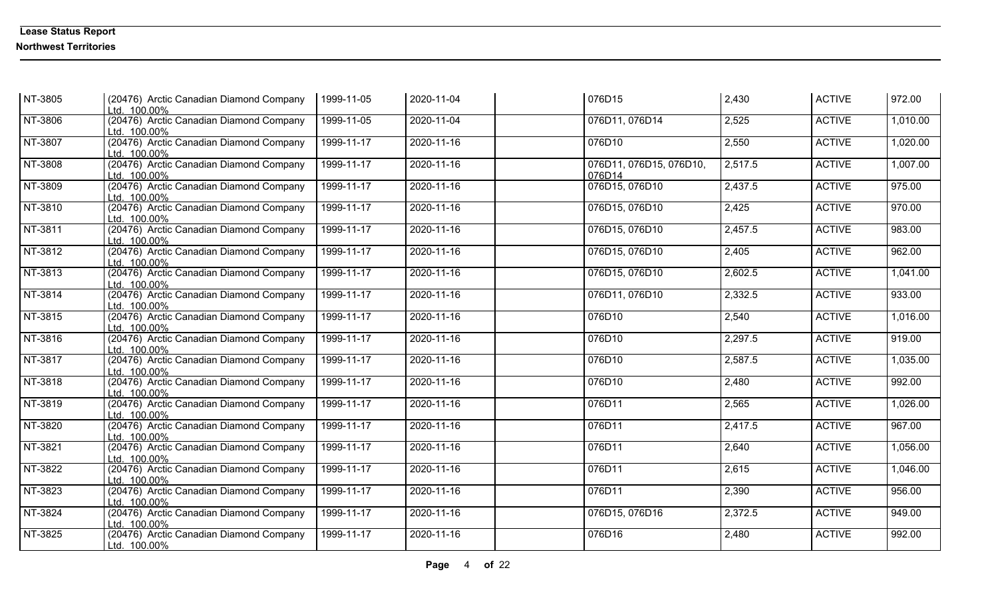| NT-3805 | (20476) Arctic Canadian Diamond Company<br>Ltd. 100.00% | 1999-11-05 | 2020-11-04 | 076D15                            | 2,430   | <b>ACTIVE</b> | 972.00   |
|---------|---------------------------------------------------------|------------|------------|-----------------------------------|---------|---------------|----------|
| NT-3806 | (20476) Arctic Canadian Diamond Company<br>Ltd. 100.00% | 1999-11-05 | 2020-11-04 | 076D11, 076D14                    | 2,525   | <b>ACTIVE</b> | 1,010.00 |
| NT-3807 | (20476) Arctic Canadian Diamond Company<br>Ltd. 100.00% | 1999-11-17 | 2020-11-16 | 076D10                            | 2,550   | <b>ACTIVE</b> | 1,020.00 |
| NT-3808 | (20476) Arctic Canadian Diamond Company<br>Ltd. 100.00% | 1999-11-17 | 2020-11-16 | 076D11, 076D15, 076D10,<br>076D14 | 2,517.5 | <b>ACTIVE</b> | 1,007.00 |
| NT-3809 | (20476) Arctic Canadian Diamond Company<br>Ltd. 100.00% | 1999-11-17 | 2020-11-16 | 076D15, 076D10                    | 2,437.5 | <b>ACTIVE</b> | 975.00   |
| NT-3810 | (20476) Arctic Canadian Diamond Company<br>Ltd. 100.00% | 1999-11-17 | 2020-11-16 | 076D15, 076D10                    | 2,425   | <b>ACTIVE</b> | 970.00   |
| NT-3811 | (20476) Arctic Canadian Diamond Company<br>Ltd. 100.00% | 1999-11-17 | 2020-11-16 | 076D15, 076D10                    | 2,457.5 | <b>ACTIVE</b> | 983.00   |
| NT-3812 | (20476) Arctic Canadian Diamond Company<br>Ltd. 100.00% | 1999-11-17 | 2020-11-16 | 076D15, 076D10                    | 2,405   | <b>ACTIVE</b> | 962.00   |
| NT-3813 | (20476) Arctic Canadian Diamond Company<br>Ltd. 100.00% | 1999-11-17 | 2020-11-16 | 076D15, 076D10                    | 2,602.5 | <b>ACTIVE</b> | 1,041.00 |
| NT-3814 | (20476) Arctic Canadian Diamond Company<br>Ltd. 100.00% | 1999-11-17 | 2020-11-16 | 076D11, 076D10                    | 2,332.5 | <b>ACTIVE</b> | 933.00   |
| NT-3815 | (20476) Arctic Canadian Diamond Company<br>Ltd. 100.00% | 1999-11-17 | 2020-11-16 | 076D10                            | 2,540   | <b>ACTIVE</b> | 1,016.00 |
| NT-3816 | (20476) Arctic Canadian Diamond Company<br>Ltd. 100.00% | 1999-11-17 | 2020-11-16 | 076D10                            | 2,297.5 | <b>ACTIVE</b> | 919.00   |
| NT-3817 | (20476) Arctic Canadian Diamond Company<br>Ltd. 100.00% | 1999-11-17 | 2020-11-16 | 076D10                            | 2,587.5 | <b>ACTIVE</b> | 1,035.00 |
| NT-3818 | (20476) Arctic Canadian Diamond Company<br>Ltd. 100.00% | 1999-11-17 | 2020-11-16 | 076D10                            | 2,480   | <b>ACTIVE</b> | 992.00   |
| NT-3819 | (20476) Arctic Canadian Diamond Company<br>Ltd. 100.00% | 1999-11-17 | 2020-11-16 | 076D11                            | 2,565   | <b>ACTIVE</b> | 1,026.00 |
| NT-3820 | (20476) Arctic Canadian Diamond Company<br>Ltd. 100.00% | 1999-11-17 | 2020-11-16 | 076D11                            | 2,417.5 | <b>ACTIVE</b> | 967.00   |
| NT-3821 | (20476) Arctic Canadian Diamond Company<br>Ltd. 100.00% | 1999-11-17 | 2020-11-16 | 076D11                            | 2,640   | <b>ACTIVE</b> | 1,056.00 |
| NT-3822 | (20476) Arctic Canadian Diamond Company<br>Ltd. 100.00% | 1999-11-17 | 2020-11-16 | 076D11                            | 2,615   | <b>ACTIVE</b> | 1,046.00 |
| NT-3823 | (20476) Arctic Canadian Diamond Company<br>Ltd. 100.00% | 1999-11-17 | 2020-11-16 | 076D11                            | 2,390   | <b>ACTIVE</b> | 956.00   |
| NT-3824 | (20476) Arctic Canadian Diamond Company<br>Ltd. 100.00% | 1999-11-17 | 2020-11-16 | 076D15, 076D16                    | 2,372.5 | <b>ACTIVE</b> | 949.00   |
| NT-3825 | (20476) Arctic Canadian Diamond Company<br>Ltd. 100.00% | 1999-11-17 | 2020-11-16 | 076D16                            | 2,480   | <b>ACTIVE</b> | 992.00   |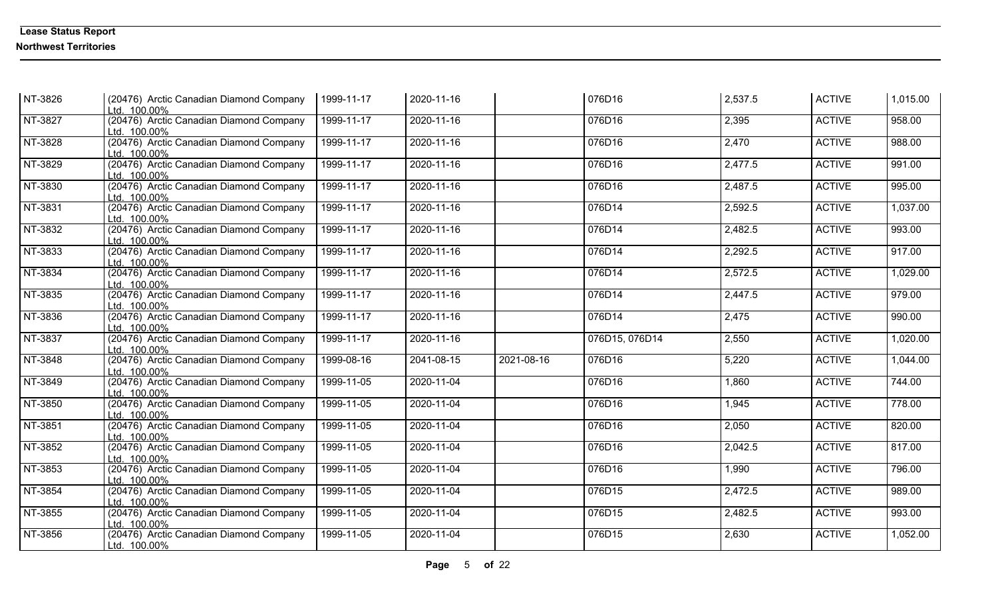| NT-3826 | (20476) Arctic Canadian Diamond Company<br>Ltd. 100.00% | 1999-11-17 | 2020-11-16 |            | 076D16         | 2,537.5 | <b>ACTIVE</b> | 1,015.00 |
|---------|---------------------------------------------------------|------------|------------|------------|----------------|---------|---------------|----------|
| NT-3827 | (20476) Arctic Canadian Diamond Company<br>Ltd. 100.00% | 1999-11-17 | 2020-11-16 |            | 076D16         | 2,395   | <b>ACTIVE</b> | 958.00   |
| NT-3828 | (20476) Arctic Canadian Diamond Company<br>Ltd. 100.00% | 1999-11-17 | 2020-11-16 |            | 076D16         | 2,470   | <b>ACTIVE</b> | 988.00   |
| NT-3829 | (20476) Arctic Canadian Diamond Company<br>Ltd. 100.00% | 1999-11-17 | 2020-11-16 |            | 076D16         | 2,477.5 | <b>ACTIVE</b> | 991.00   |
| NT-3830 | (20476) Arctic Canadian Diamond Company<br>Ltd. 100.00% | 1999-11-17 | 2020-11-16 |            | 076D16         | 2,487.5 | <b>ACTIVE</b> | 995.00   |
| NT-3831 | (20476) Arctic Canadian Diamond Company<br>Ltd. 100.00% | 1999-11-17 | 2020-11-16 |            | 076D14         | 2,592.5 | <b>ACTIVE</b> | 1,037.00 |
| NT-3832 | (20476) Arctic Canadian Diamond Company<br>Ltd. 100.00% | 1999-11-17 | 2020-11-16 |            | 076D14         | 2,482.5 | <b>ACTIVE</b> | 993.00   |
| NT-3833 | (20476) Arctic Canadian Diamond Company<br>Ltd. 100.00% | 1999-11-17 | 2020-11-16 |            | 076D14         | 2,292.5 | <b>ACTIVE</b> | 917.00   |
| NT-3834 | (20476) Arctic Canadian Diamond Company<br>Ltd. 100.00% | 1999-11-17 | 2020-11-16 |            | 076D14         | 2,572.5 | <b>ACTIVE</b> | 1,029.00 |
| NT-3835 | (20476) Arctic Canadian Diamond Company<br>Ltd. 100.00% | 1999-11-17 | 2020-11-16 |            | 076D14         | 2,447.5 | <b>ACTIVE</b> | 979.00   |
| NT-3836 | (20476) Arctic Canadian Diamond Company<br>Ltd. 100.00% | 1999-11-17 | 2020-11-16 |            | 076D14         | 2,475   | <b>ACTIVE</b> | 990.00   |
| NT-3837 | (20476) Arctic Canadian Diamond Company<br>Ltd. 100.00% | 1999-11-17 | 2020-11-16 |            | 076D15, 076D14 | 2,550   | <b>ACTIVE</b> | 1,020.00 |
| NT-3848 | (20476) Arctic Canadian Diamond Company<br>Ltd. 100.00% | 1999-08-16 | 2041-08-15 | 2021-08-16 | 076D16         | 5,220   | <b>ACTIVE</b> | 1,044.00 |
| NT-3849 | (20476) Arctic Canadian Diamond Company<br>Ltd. 100.00% | 1999-11-05 | 2020-11-04 |            | 076D16         | 1,860   | <b>ACTIVE</b> | 744.00   |
| NT-3850 | (20476) Arctic Canadian Diamond Company<br>Ltd. 100.00% | 1999-11-05 | 2020-11-04 |            | 076D16         | 1,945   | <b>ACTIVE</b> | 778.00   |
| NT-3851 | (20476) Arctic Canadian Diamond Company<br>Ltd. 100.00% | 1999-11-05 | 2020-11-04 |            | 076D16         | 2,050   | <b>ACTIVE</b> | 820.00   |
| NT-3852 | (20476) Arctic Canadian Diamond Company<br>Ltd. 100.00% | 1999-11-05 | 2020-11-04 |            | 076D16         | 2,042.5 | <b>ACTIVE</b> | 817.00   |
| NT-3853 | (20476) Arctic Canadian Diamond Company<br>Ltd. 100.00% | 1999-11-05 | 2020-11-04 |            | 076D16         | 1,990   | <b>ACTIVE</b> | 796.00   |
| NT-3854 | (20476) Arctic Canadian Diamond Company<br>Ltd. 100.00% | 1999-11-05 | 2020-11-04 |            | 076D15         | 2,472.5 | <b>ACTIVE</b> | 989.00   |
| NT-3855 | (20476) Arctic Canadian Diamond Company<br>Ltd. 100.00% | 1999-11-05 | 2020-11-04 |            | 076D15         | 2,482.5 | <b>ACTIVE</b> | 993.00   |
| NT-3856 | (20476) Arctic Canadian Diamond Company<br>Ltd. 100.00% | 1999-11-05 | 2020-11-04 |            | 076D15         | 2,630   | <b>ACTIVE</b> | 1,052.00 |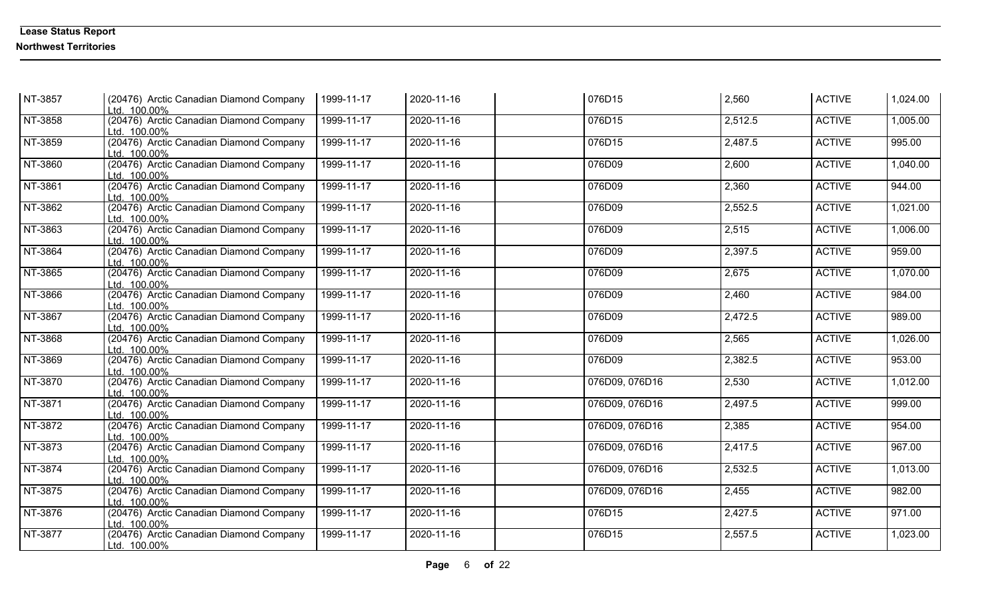| NT-3857 | (20476) Arctic Canadian Diamond Company<br>Ltd. 100.00% | 1999-11-17 | 2020-11-16 | 076D15         | 2,560   | <b>ACTIVE</b> | 1,024.00 |
|---------|---------------------------------------------------------|------------|------------|----------------|---------|---------------|----------|
| NT-3858 | (20476) Arctic Canadian Diamond Company<br>Ltd. 100.00% | 1999-11-17 | 2020-11-16 | 076D15         | 2,512.5 | <b>ACTIVE</b> | 1,005.00 |
| NT-3859 | (20476) Arctic Canadian Diamond Company<br>Ltd. 100.00% | 1999-11-17 | 2020-11-16 | 076D15         | 2,487.5 | <b>ACTIVE</b> | 995.00   |
| NT-3860 | (20476) Arctic Canadian Diamond Company<br>Ltd. 100.00% | 1999-11-17 | 2020-11-16 | 076D09         | 2,600   | <b>ACTIVE</b> | 1,040.00 |
| NT-3861 | (20476) Arctic Canadian Diamond Company<br>Ltd. 100.00% | 1999-11-17 | 2020-11-16 | 076D09         | 2,360   | <b>ACTIVE</b> | 944.00   |
| NT-3862 | (20476) Arctic Canadian Diamond Company<br>Ltd. 100.00% | 1999-11-17 | 2020-11-16 | 076D09         | 2,552.5 | <b>ACTIVE</b> | 1,021.00 |
| NT-3863 | (20476) Arctic Canadian Diamond Company<br>Ltd. 100.00% | 1999-11-17 | 2020-11-16 | 076D09         | 2,515   | <b>ACTIVE</b> | 1,006.00 |
| NT-3864 | (20476) Arctic Canadian Diamond Company<br>Ltd. 100.00% | 1999-11-17 | 2020-11-16 | 076D09         | 2,397.5 | <b>ACTIVE</b> | 959.00   |
| NT-3865 | (20476) Arctic Canadian Diamond Company<br>Ltd. 100.00% | 1999-11-17 | 2020-11-16 | 076D09         | 2,675   | <b>ACTIVE</b> | 1,070.00 |
| NT-3866 | (20476) Arctic Canadian Diamond Company<br>Ltd. 100.00% | 1999-11-17 | 2020-11-16 | 076D09         | 2,460   | <b>ACTIVE</b> | 984.00   |
| NT-3867 | (20476) Arctic Canadian Diamond Company<br>Ltd. 100.00% | 1999-11-17 | 2020-11-16 | 076D09         | 2,472.5 | <b>ACTIVE</b> | 989.00   |
| NT-3868 | (20476) Arctic Canadian Diamond Company<br>Ltd. 100.00% | 1999-11-17 | 2020-11-16 | 076D09         | 2,565   | <b>ACTIVE</b> | 1,026.00 |
| NT-3869 | (20476) Arctic Canadian Diamond Company<br>Ltd. 100.00% | 1999-11-17 | 2020-11-16 | 076D09         | 2,382.5 | <b>ACTIVE</b> | 953.00   |
| NT-3870 | (20476) Arctic Canadian Diamond Company<br>Ltd. 100.00% | 1999-11-17 | 2020-11-16 | 076D09, 076D16 | 2,530   | <b>ACTIVE</b> | 1,012.00 |
| NT-3871 | (20476) Arctic Canadian Diamond Company<br>Ltd. 100.00% | 1999-11-17 | 2020-11-16 | 076D09, 076D16 | 2,497.5 | <b>ACTIVE</b> | 999.00   |
| NT-3872 | (20476) Arctic Canadian Diamond Company<br>Ltd. 100.00% | 1999-11-17 | 2020-11-16 | 076D09, 076D16 | 2,385   | <b>ACTIVE</b> | 954.00   |
| NT-3873 | (20476) Arctic Canadian Diamond Company<br>Ltd. 100.00% | 1999-11-17 | 2020-11-16 | 076D09, 076D16 | 2,417.5 | <b>ACTIVE</b> | 967.00   |
| NT-3874 | (20476) Arctic Canadian Diamond Company<br>Ltd. 100.00% | 1999-11-17 | 2020-11-16 | 076D09, 076D16 | 2,532.5 | <b>ACTIVE</b> | 1,013.00 |
| NT-3875 | (20476) Arctic Canadian Diamond Company<br>Ltd. 100.00% | 1999-11-17 | 2020-11-16 | 076D09, 076D16 | 2,455   | <b>ACTIVE</b> | 982.00   |
| NT-3876 | (20476) Arctic Canadian Diamond Company<br>Ltd. 100.00% | 1999-11-17 | 2020-11-16 | 076D15         | 2,427.5 | <b>ACTIVE</b> | 971.00   |
| NT-3877 | (20476) Arctic Canadian Diamond Company<br>Ltd. 100.00% | 1999-11-17 | 2020-11-16 | 076D15         | 2,557.5 | <b>ACTIVE</b> | 1,023.00 |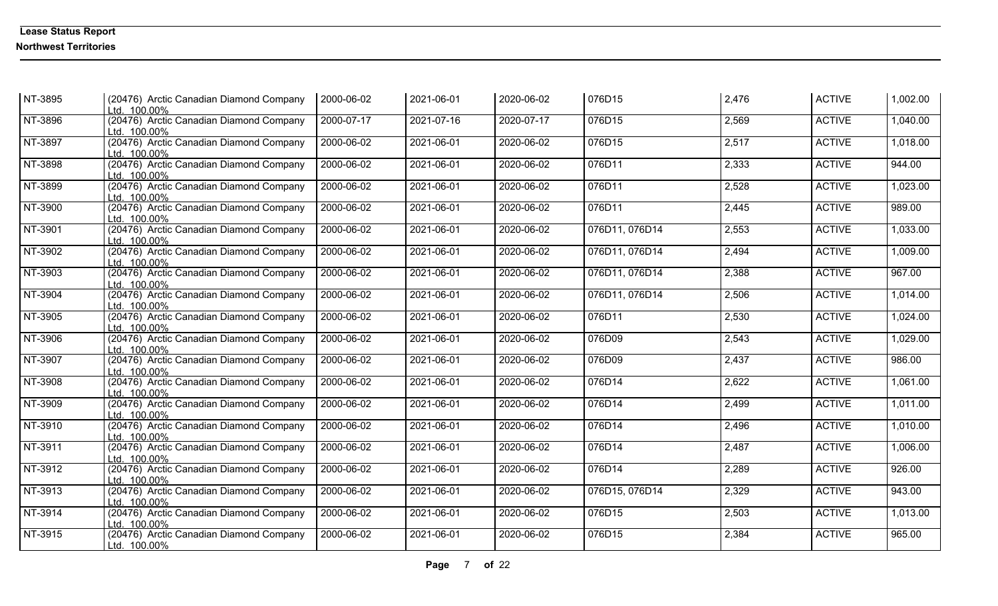| NT-3895                 | (20476) Arctic Canadian Diamond Company<br>Ltd. 100.00% | 2000-06-02 | 2021-06-01 | 2020-06-02       | 076D15         | 2,476 | <b>ACTIVE</b> | 1,002.00 |
|-------------------------|---------------------------------------------------------|------------|------------|------------------|----------------|-------|---------------|----------|
| NT-3896                 | (20476) Arctic Canadian Diamond Company<br>Ltd. 100.00% | 2000-07-17 | 2021-07-16 | 2020-07-17       | 076D15         | 2,569 | <b>ACTIVE</b> | 1,040.00 |
| NT-3897                 | (20476) Arctic Canadian Diamond Company<br>Ltd. 100.00% | 2000-06-02 | 2021-06-01 | 2020-06-02       | 076D15         | 2,517 | <b>ACTIVE</b> | 1,018.00 |
| NT-3898                 | (20476) Arctic Canadian Diamond Company<br>Ltd. 100.00% | 2000-06-02 | 2021-06-01 | 2020-06-02       | 076D11         | 2,333 | <b>ACTIVE</b> | 944.00   |
| NT-3899                 | (20476) Arctic Canadian Diamond Company<br>Ltd. 100.00% | 2000-06-02 | 2021-06-01 | 2020-06-02       | 076D11         | 2,528 | <b>ACTIVE</b> | 1,023.00 |
| NT-3900                 | (20476) Arctic Canadian Diamond Company<br>Ltd. 100.00% | 2000-06-02 | 2021-06-01 | 2020-06-02       | 076D11         | 2,445 | <b>ACTIVE</b> | 989.00   |
| NT-3901                 | (20476) Arctic Canadian Diamond Company<br>Ltd. 100.00% | 2000-06-02 | 2021-06-01 | 2020-06-02       | 076D11, 076D14 | 2,553 | <b>ACTIVE</b> | 1,033.00 |
| NT-3902                 | (20476) Arctic Canadian Diamond Company<br>Ltd. 100.00% | 2000-06-02 | 2021-06-01 | 2020-06-02       | 076D11, 076D14 | 2,494 | <b>ACTIVE</b> | 1,009.00 |
| NT-3903                 | (20476) Arctic Canadian Diamond Company<br>Ltd. 100.00% | 2000-06-02 | 2021-06-01 | 2020-06-02       | 076D11, 076D14 | 2,388 | <b>ACTIVE</b> | 967.00   |
| NT-3904                 | (20476) Arctic Canadian Diamond Company<br>Ltd. 100.00% | 2000-06-02 | 2021-06-01 | 2020-06-02       | 076D11, 076D14 | 2,506 | <b>ACTIVE</b> | 1,014.00 |
| NT-3905                 | (20476) Arctic Canadian Diamond Company<br>Ltd. 100.00% | 2000-06-02 | 2021-06-01 | 2020-06-02       | 076D11         | 2,530 | <b>ACTIVE</b> | 1,024.00 |
| NT-3906                 | (20476) Arctic Canadian Diamond Company<br>Ltd. 100.00% | 2000-06-02 | 2021-06-01 | 2020-06-02       | 076D09         | 2,543 | <b>ACTIVE</b> | 1,029.00 |
| NT-3907                 | (20476) Arctic Canadian Diamond Company<br>Ltd. 100.00% | 2000-06-02 | 2021-06-01 | 2020-06-02       | 076D09         | 2,437 | <b>ACTIVE</b> | 986.00   |
| NT-3908                 | (20476) Arctic Canadian Diamond Company<br>Ltd. 100.00% | 2000-06-02 | 2021-06-01 | 2020-06-02       | 076D14         | 2,622 | <b>ACTIVE</b> | 1,061.00 |
| NT-3909                 | (20476) Arctic Canadian Diamond Company<br>Ltd. 100.00% | 2000-06-02 | 2021-06-01 | 2020-06-02       | 076D14         | 2,499 | <b>ACTIVE</b> | 1,011.00 |
| NT-3910                 | (20476) Arctic Canadian Diamond Company<br>Ltd. 100.00% | 2000-06-02 | 2021-06-01 | 2020-06-02       | 076D14         | 2,496 | <b>ACTIVE</b> | 1,010.00 |
| NT-3911                 | (20476) Arctic Canadian Diamond Company<br>Ltd. 100.00% | 2000-06-02 | 2021-06-01 | 2020-06-02       | 076D14         | 2,487 | <b>ACTIVE</b> | 1,006.00 |
| NT-3912                 | (20476) Arctic Canadian Diamond Company<br>Ltd. 100.00% | 2000-06-02 | 2021-06-01 | 2020-06-02       | 076D14         | 2,289 | <b>ACTIVE</b> | 926.00   |
| NT-3913                 | (20476) Arctic Canadian Diamond Company<br>Ltd. 100.00% | 2000-06-02 | 2021-06-01 | 2020-06-02       | 076D15, 076D14 | 2,329 | <b>ACTIVE</b> | 943.00   |
| $\sqrt{\text{NT-}3914}$ | (20476) Arctic Canadian Diamond Company<br>Ltd. 100.00% | 2000-06-02 | 2021-06-01 | $2020 - 06 - 02$ | 076D15         | 2,503 | <b>ACTIVE</b> | 1,013.00 |
| NT-3915                 | (20476) Arctic Canadian Diamond Company<br>Ltd. 100.00% | 2000-06-02 | 2021-06-01 | 2020-06-02       | 076D15         | 2,384 | <b>ACTIVE</b> | 965.00   |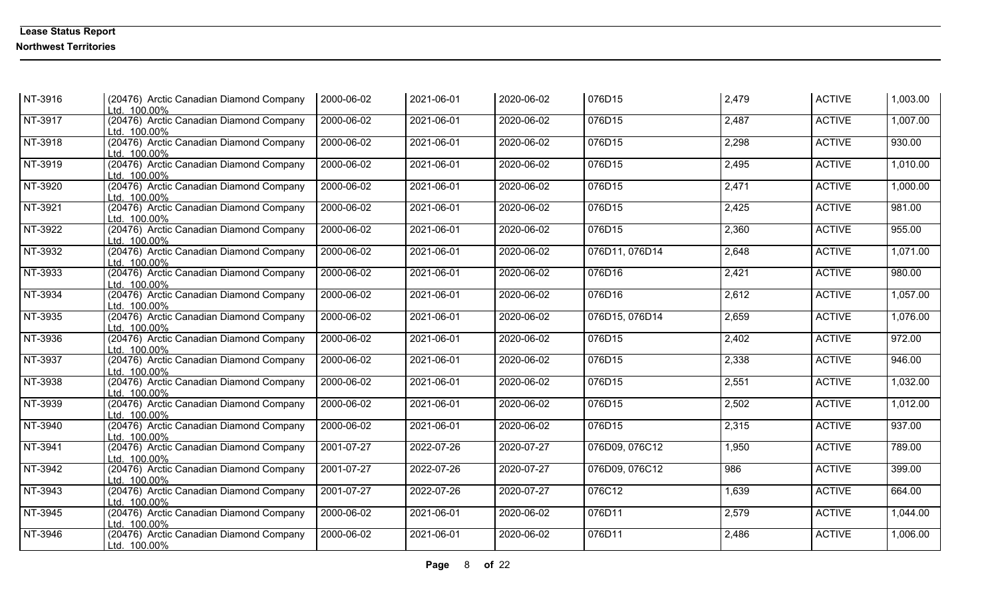| NT-3916   | (20476) Arctic Canadian Diamond Company<br>Ltd. 100.00% | 2000-06-02 | 2021-06-01 | 2020-06-02 | 076D15         | 2,479 | <b>ACTIVE</b> | 1,003.00 |
|-----------|---------------------------------------------------------|------------|------------|------------|----------------|-------|---------------|----------|
| NT-3917   | (20476) Arctic Canadian Diamond Company<br>Ltd. 100.00% | 2000-06-02 | 2021-06-01 | 2020-06-02 | 076D15         | 2,487 | <b>ACTIVE</b> | 1,007.00 |
| NT-3918   | (20476) Arctic Canadian Diamond Company<br>Ltd. 100.00% | 2000-06-02 | 2021-06-01 | 2020-06-02 | 076D15         | 2,298 | <b>ACTIVE</b> | 930.00   |
| NT-3919   | (20476) Arctic Canadian Diamond Company<br>Ltd. 100.00% | 2000-06-02 | 2021-06-01 | 2020-06-02 | 076D15         | 2,495 | <b>ACTIVE</b> | 1,010.00 |
| NT-3920   | (20476) Arctic Canadian Diamond Company<br>Ltd. 100.00% | 2000-06-02 | 2021-06-01 | 2020-06-02 | 076D15         | 2,471 | <b>ACTIVE</b> | 1,000.00 |
| NT-3921   | (20476) Arctic Canadian Diamond Company<br>Ltd. 100.00% | 2000-06-02 | 2021-06-01 | 2020-06-02 | 076D15         | 2,425 | <b>ACTIVE</b> | 981.00   |
| NT-3922   | (20476) Arctic Canadian Diamond Company<br>Ltd. 100.00% | 2000-06-02 | 2021-06-01 | 2020-06-02 | 076D15         | 2,360 | <b>ACTIVE</b> | 955.00   |
| NT-3932   | (20476) Arctic Canadian Diamond Company<br>Ltd. 100.00% | 2000-06-02 | 2021-06-01 | 2020-06-02 | 076D11, 076D14 | 2,648 | <b>ACTIVE</b> | 1,071.00 |
| NT-3933   | (20476) Arctic Canadian Diamond Company<br>Ltd. 100.00% | 2000-06-02 | 2021-06-01 | 2020-06-02 | 076D16         | 2,421 | <b>ACTIVE</b> | 980.00   |
| NT-3934   | (20476) Arctic Canadian Diamond Company<br>Ltd. 100.00% | 2000-06-02 | 2021-06-01 | 2020-06-02 | 076D16         | 2,612 | <b>ACTIVE</b> | 1,057.00 |
| NT-3935   | (20476) Arctic Canadian Diamond Company<br>Ltd. 100.00% | 2000-06-02 | 2021-06-01 | 2020-06-02 | 076D15, 076D14 | 2,659 | <b>ACTIVE</b> | 1,076.00 |
| NT-3936   | (20476) Arctic Canadian Diamond Company<br>Ltd. 100.00% | 2000-06-02 | 2021-06-01 | 2020-06-02 | 076D15         | 2,402 | <b>ACTIVE</b> | 972.00   |
| NT-3937   | (20476) Arctic Canadian Diamond Company<br>Ltd. 100.00% | 2000-06-02 | 2021-06-01 | 2020-06-02 | 076D15         | 2,338 | <b>ACTIVE</b> | 946.00   |
| NT-3938   | (20476) Arctic Canadian Diamond Company<br>Ltd. 100.00% | 2000-06-02 | 2021-06-01 | 2020-06-02 | 076D15         | 2,551 | <b>ACTIVE</b> | 1,032.00 |
| NT-3939   | (20476) Arctic Canadian Diamond Company<br>Ltd. 100.00% | 2000-06-02 | 2021-06-01 | 2020-06-02 | 076D15         | 2,502 | <b>ACTIVE</b> | 1,012.00 |
| $NT-3940$ | (20476) Arctic Canadian Diamond Company<br>Ltd. 100.00% | 2000-06-02 | 2021-06-01 | 2020-06-02 | 076D15         | 2,315 | <b>ACTIVE</b> | 937.00   |
| NT-3941   | (20476) Arctic Canadian Diamond Company<br>Ltd. 100.00% | 2001-07-27 | 2022-07-26 | 2020-07-27 | 076D09, 076C12 | 1,950 | <b>ACTIVE</b> | 789.00   |
| NT-3942   | (20476) Arctic Canadian Diamond Company<br>Ltd. 100.00% | 2001-07-27 | 2022-07-26 | 2020-07-27 | 076D09, 076C12 | 986   | <b>ACTIVE</b> | 399.00   |
| $NT-3943$ | (20476) Arctic Canadian Diamond Company<br>Ltd. 100.00% | 2001-07-27 | 2022-07-26 | 2020-07-27 | 076C12         | 1,639 | <b>ACTIVE</b> | 664.00   |
| NT-3945   | (20476) Arctic Canadian Diamond Company<br>Ltd. 100.00% | 2000-06-02 | 2021-06-01 | 2020-06-02 | 076D11         | 2,579 | <b>ACTIVE</b> | 1,044.00 |
| NT-3946   | (20476) Arctic Canadian Diamond Company<br>Ltd. 100.00% | 2000-06-02 | 2021-06-01 | 2020-06-02 | 076D11         | 2,486 | <b>ACTIVE</b> | 1,006.00 |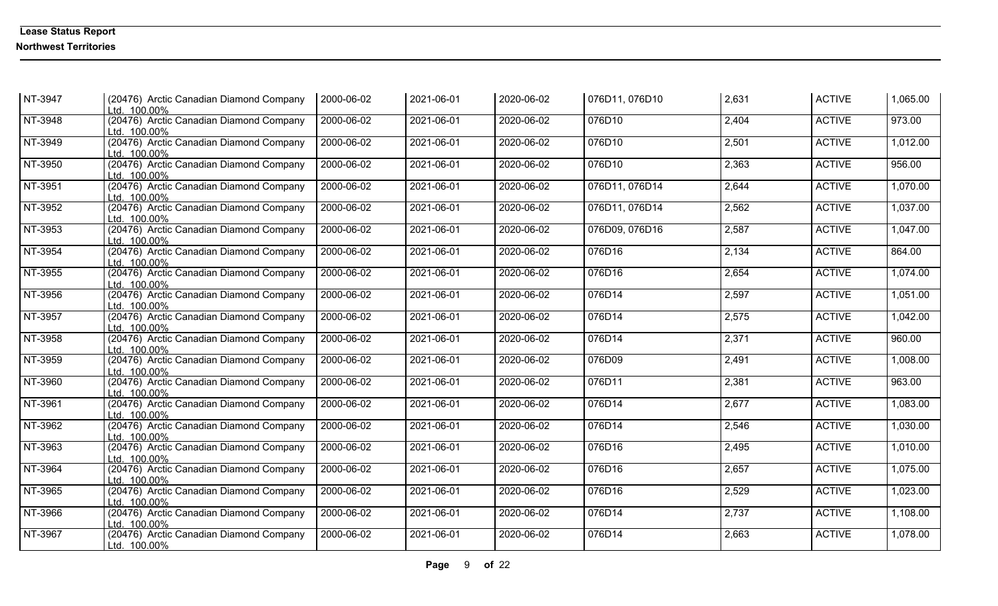| NT-3947                     | (20476) Arctic Canadian Diamond Company<br>Ltd. 100.00% | 2000-06-02 | 2021-06-01 | 2020-06-02 | 076D11, 076D10 | 2,631 | <b>ACTIVE</b> | 1,065.00 |
|-----------------------------|---------------------------------------------------------|------------|------------|------------|----------------|-------|---------------|----------|
| NT-3948                     | (20476) Arctic Canadian Diamond Company<br>Ltd. 100.00% | 2000-06-02 | 2021-06-01 | 2020-06-02 | 076D10         | 2,404 | <b>ACTIVE</b> | 973.00   |
| NT-3949                     | (20476) Arctic Canadian Diamond Company<br>Ltd. 100.00% | 2000-06-02 | 2021-06-01 | 2020-06-02 | 076D10         | 2,501 | <b>ACTIVE</b> | 1,012.00 |
| NT-3950                     | (20476) Arctic Canadian Diamond Company<br>Ltd. 100.00% | 2000-06-02 | 2021-06-01 | 2020-06-02 | 076D10         | 2,363 | <b>ACTIVE</b> | 956.00   |
| NT-3951                     | (20476) Arctic Canadian Diamond Company<br>Ltd. 100.00% | 2000-06-02 | 2021-06-01 | 2020-06-02 | 076D11, 076D14 | 2,644 | <b>ACTIVE</b> | 1,070.00 |
| NT-3952                     | (20476) Arctic Canadian Diamond Company<br>Ltd. 100.00% | 2000-06-02 | 2021-06-01 | 2020-06-02 | 076D11, 076D14 | 2,562 | <b>ACTIVE</b> | 1,037.00 |
| NT-3953                     | (20476) Arctic Canadian Diamond Company<br>Ltd. 100.00% | 2000-06-02 | 2021-06-01 | 2020-06-02 | 076D09, 076D16 | 2,587 | <b>ACTIVE</b> | 1,047.00 |
| NT-3954                     | (20476) Arctic Canadian Diamond Company<br>Ltd. 100.00% | 2000-06-02 | 2021-06-01 | 2020-06-02 | 076D16         | 2,134 | <b>ACTIVE</b> | 864.00   |
| NT-3955                     | (20476) Arctic Canadian Diamond Company<br>Ltd. 100.00% | 2000-06-02 | 2021-06-01 | 2020-06-02 | 076D16         | 2,654 | <b>ACTIVE</b> | 1,074.00 |
| NT-3956                     | (20476) Arctic Canadian Diamond Company<br>Ltd. 100.00% | 2000-06-02 | 2021-06-01 | 2020-06-02 | 076D14         | 2,597 | <b>ACTIVE</b> | 1,051.00 |
| NT-3957                     | (20476) Arctic Canadian Diamond Company<br>Ltd. 100.00% | 2000-06-02 | 2021-06-01 | 2020-06-02 | 076D14         | 2,575 | <b>ACTIVE</b> | 1,042.00 |
| NT-3958                     | (20476) Arctic Canadian Diamond Company<br>Ltd. 100.00% | 2000-06-02 | 2021-06-01 | 2020-06-02 | 076D14         | 2,371 | <b>ACTIVE</b> | 960.00   |
| NT-3959                     | (20476) Arctic Canadian Diamond Company<br>Ltd. 100.00% | 2000-06-02 | 2021-06-01 | 2020-06-02 | 076D09         | 2,491 | <b>ACTIVE</b> | 1,008.00 |
| NT-3960                     | (20476) Arctic Canadian Diamond Company<br>Ltd. 100.00% | 2000-06-02 | 2021-06-01 | 2020-06-02 | 076D11         | 2,381 | <b>ACTIVE</b> | 963.00   |
| NT-3961                     | (20476) Arctic Canadian Diamond Company<br>Ltd. 100.00% | 2000-06-02 | 2021-06-01 | 2020-06-02 | 076D14         | 2,677 | <b>ACTIVE</b> | 1,083.00 |
| $\overline{\text{NT-}3962}$ | (20476) Arctic Canadian Diamond Company<br>Ltd. 100.00% | 2000-06-02 | 2021-06-01 | 2020-06-02 | 076D14         | 2,546 | <b>ACTIVE</b> | 1,030.00 |
| NT-3963                     | (20476) Arctic Canadian Diamond Company<br>Ltd. 100.00% | 2000-06-02 | 2021-06-01 | 2020-06-02 | 076D16         | 2,495 | <b>ACTIVE</b> | 1,010.00 |
| NT-3964                     | (20476) Arctic Canadian Diamond Company<br>Ltd. 100.00% | 2000-06-02 | 2021-06-01 | 2020-06-02 | 076D16         | 2,657 | <b>ACTIVE</b> | 1,075.00 |
| NT-3965                     | (20476) Arctic Canadian Diamond Company<br>Ltd. 100.00% | 2000-06-02 | 2021-06-01 | 2020-06-02 | 076D16         | 2,529 | <b>ACTIVE</b> | 1,023.00 |
| NT-3966                     | (20476) Arctic Canadian Diamond Company<br>Ltd. 100.00% | 2000-06-02 | 2021-06-01 | 2020-06-02 | 076D14         | 2,737 | <b>ACTIVE</b> | 1,108.00 |
| NT-3967                     | (20476) Arctic Canadian Diamond Company<br>Ltd. 100.00% | 2000-06-02 | 2021-06-01 | 2020-06-02 | 076D14         | 2,663 | <b>ACTIVE</b> | 1,078.00 |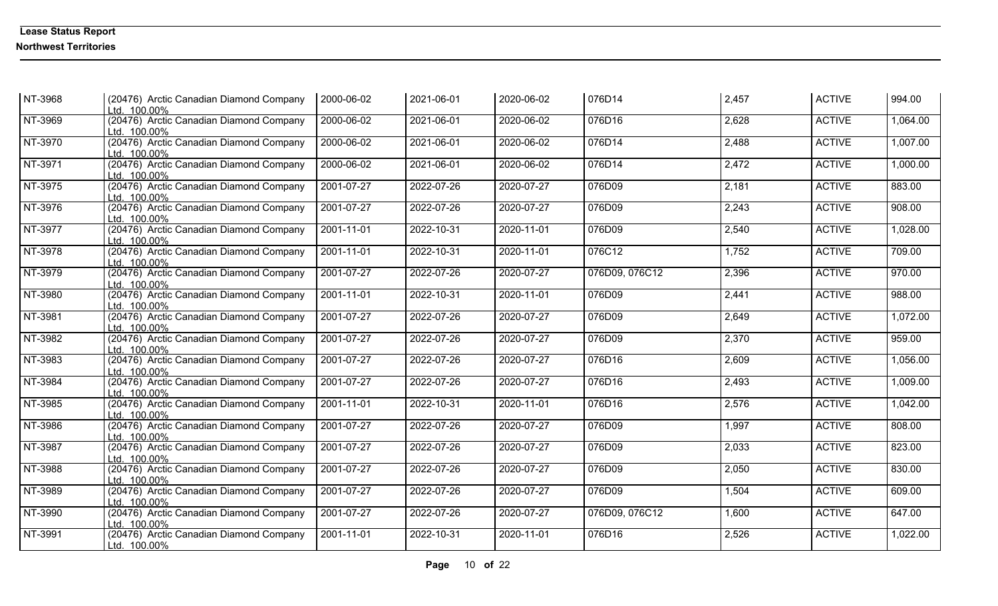| NT-3968 | (20476) Arctic Canadian Diamond Company<br>Ltd. 100.00% | 2000-06-02 | 2021-06-01 | 2020-06-02 | 076D14         | 2,457 | <b>ACTIVE</b> | 994.00   |
|---------|---------------------------------------------------------|------------|------------|------------|----------------|-------|---------------|----------|
| NT-3969 | (20476) Arctic Canadian Diamond Company<br>Ltd. 100.00% | 2000-06-02 | 2021-06-01 | 2020-06-02 | 076D16         | 2,628 | <b>ACTIVE</b> | 1,064.00 |
| NT-3970 | (20476) Arctic Canadian Diamond Company<br>Ltd. 100.00% | 2000-06-02 | 2021-06-01 | 2020-06-02 | 076D14         | 2,488 | <b>ACTIVE</b> | 1,007.00 |
| NT-3971 | (20476) Arctic Canadian Diamond Company<br>Ltd. 100.00% | 2000-06-02 | 2021-06-01 | 2020-06-02 | 076D14         | 2,472 | <b>ACTIVE</b> | 1,000.00 |
| NT-3975 | (20476) Arctic Canadian Diamond Company<br>Ltd. 100.00% | 2001-07-27 | 2022-07-26 | 2020-07-27 | 076D09         | 2,181 | <b>ACTIVE</b> | 883.00   |
| NT-3976 | (20476) Arctic Canadian Diamond Company<br>Ltd. 100.00% | 2001-07-27 | 2022-07-26 | 2020-07-27 | 076D09         | 2,243 | <b>ACTIVE</b> | 908.00   |
| NT-3977 | (20476) Arctic Canadian Diamond Company<br>Ltd. 100.00% | 2001-11-01 | 2022-10-31 | 2020-11-01 | 076D09         | 2,540 | <b>ACTIVE</b> | 1,028.00 |
| NT-3978 | (20476) Arctic Canadian Diamond Company<br>Ltd. 100.00% | 2001-11-01 | 2022-10-31 | 2020-11-01 | 076C12         | 1,752 | <b>ACTIVE</b> | 709.00   |
| NT-3979 | (20476) Arctic Canadian Diamond Company<br>Ltd. 100.00% | 2001-07-27 | 2022-07-26 | 2020-07-27 | 076D09, 076C12 | 2,396 | <b>ACTIVE</b> | 970.00   |
| NT-3980 | (20476) Arctic Canadian Diamond Company<br>Ltd. 100.00% | 2001-11-01 | 2022-10-31 | 2020-11-01 | 076D09         | 2,441 | <b>ACTIVE</b> | 988.00   |
| NT-3981 | (20476) Arctic Canadian Diamond Company<br>Ltd. 100.00% | 2001-07-27 | 2022-07-26 | 2020-07-27 | 076D09         | 2,649 | <b>ACTIVE</b> | 1,072.00 |
| NT-3982 | (20476) Arctic Canadian Diamond Company<br>Ltd. 100.00% | 2001-07-27 | 2022-07-26 | 2020-07-27 | 076D09         | 2,370 | <b>ACTIVE</b> | 959.00   |
| NT-3983 | (20476) Arctic Canadian Diamond Company<br>Ltd. 100.00% | 2001-07-27 | 2022-07-26 | 2020-07-27 | 076D16         | 2,609 | <b>ACTIVE</b> | 1,056.00 |
| NT-3984 | (20476) Arctic Canadian Diamond Company<br>Ltd. 100.00% | 2001-07-27 | 2022-07-26 | 2020-07-27 | 076D16         | 2,493 | <b>ACTIVE</b> | 1,009.00 |
| NT-3985 | (20476) Arctic Canadian Diamond Company<br>Ltd. 100.00% | 2001-11-01 | 2022-10-31 | 2020-11-01 | 076D16         | 2,576 | <b>ACTIVE</b> | 1,042.00 |
| NT-3986 | (20476) Arctic Canadian Diamond Company<br>Ltd. 100.00% | 2001-07-27 | 2022-07-26 | 2020-07-27 | 076D09         | 1,997 | <b>ACTIVE</b> | 808.00   |
| NT-3987 | (20476) Arctic Canadian Diamond Company<br>Ltd. 100.00% | 2001-07-27 | 2022-07-26 | 2020-07-27 | 076D09         | 2,033 | <b>ACTIVE</b> | 823.00   |
| NT-3988 | (20476) Arctic Canadian Diamond Company<br>Ltd. 100.00% | 2001-07-27 | 2022-07-26 | 2020-07-27 | 076D09         | 2,050 | <b>ACTIVE</b> | 830.00   |
| NT-3989 | (20476) Arctic Canadian Diamond Company<br>Ltd. 100.00% | 2001-07-27 | 2022-07-26 | 2020-07-27 | 076D09         | 1,504 | <b>ACTIVE</b> | 609.00   |
| NT-3990 | (20476) Arctic Canadian Diamond Company<br>Ltd. 100.00% | 2001-07-27 | 2022-07-26 | 2020-07-27 | 076D09, 076C12 | 1,600 | <b>ACTIVE</b> | 647.00   |
| NT-3991 | (20476) Arctic Canadian Diamond Company<br>Ltd. 100.00% | 2001-11-01 | 2022-10-31 | 2020-11-01 | 076D16         | 2,526 | <b>ACTIVE</b> | 1,022.00 |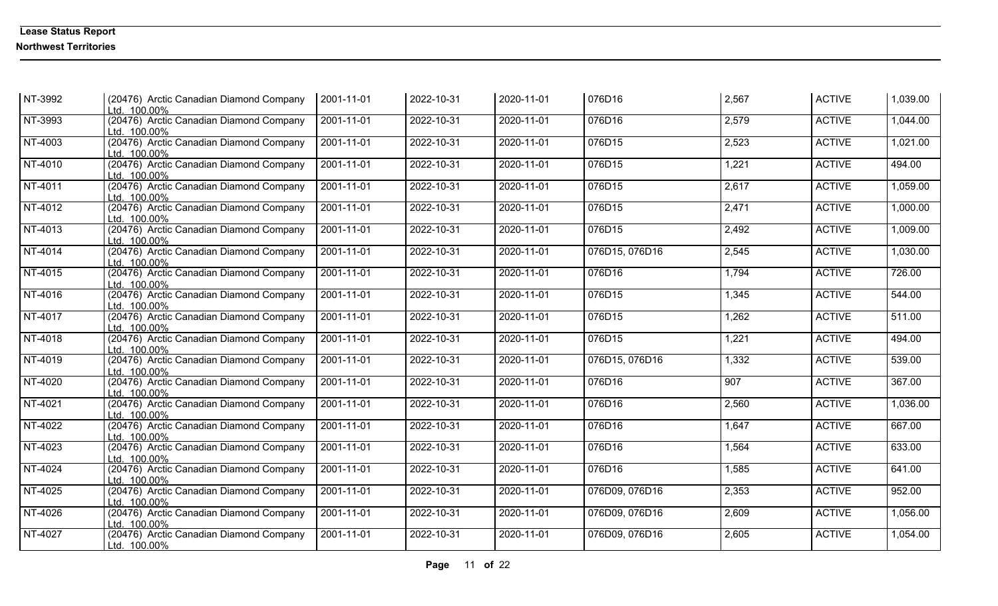| NT-3992   | (20476) Arctic Canadian Diamond Company<br>Ltd. 100.00% | 2001-11-01       | 2022-10-31 | 2020-11-01 | 076D16         | 2,567 | <b>ACTIVE</b> | 1,039.00 |
|-----------|---------------------------------------------------------|------------------|------------|------------|----------------|-------|---------------|----------|
| NT-3993   | (20476) Arctic Canadian Diamond Company<br>Ltd. 100.00% | 2001-11-01       | 2022-10-31 | 2020-11-01 | 076D16         | 2,579 | <b>ACTIVE</b> | 1,044.00 |
| NT-4003   | (20476) Arctic Canadian Diamond Company<br>Ltd. 100.00% | 2001-11-01       | 2022-10-31 | 2020-11-01 | 076D15         | 2,523 | <b>ACTIVE</b> | 1,021.00 |
| NT-4010   | (20476) Arctic Canadian Diamond Company<br>Ltd. 100.00% | 2001-11-01       | 2022-10-31 | 2020-11-01 | 076D15         | 1,221 | <b>ACTIVE</b> | 494.00   |
| NT-4011   | (20476) Arctic Canadian Diamond Company<br>Ltd. 100.00% | 2001-11-01       | 2022-10-31 | 2020-11-01 | 076D15         | 2,617 | <b>ACTIVE</b> | 1,059.00 |
| NT-4012   | (20476) Arctic Canadian Diamond Company<br>Ltd. 100.00% | $2001 - 11 - 01$ | 2022-10-31 | 2020-11-01 | 076D15         | 2,471 | <b>ACTIVE</b> | 1,000.00 |
| NT-4013   | (20476) Arctic Canadian Diamond Company<br>Ltd. 100.00% | 2001-11-01       | 2022-10-31 | 2020-11-01 | 076D15         | 2,492 | <b>ACTIVE</b> | 1,009.00 |
| NT-4014   | (20476) Arctic Canadian Diamond Company<br>Ltd. 100.00% | 2001-11-01       | 2022-10-31 | 2020-11-01 | 076D15, 076D16 | 2,545 | <b>ACTIVE</b> | 1,030.00 |
| NT-4015   | (20476) Arctic Canadian Diamond Company<br>Ltd. 100.00% | 2001-11-01       | 2022-10-31 | 2020-11-01 | 076D16         | 1,794 | <b>ACTIVE</b> | 726.00   |
| NT-4016   | (20476) Arctic Canadian Diamond Company<br>Ltd. 100.00% | 2001-11-01       | 2022-10-31 | 2020-11-01 | 076D15         | 1,345 | <b>ACTIVE</b> | 544.00   |
| NT-4017   | (20476) Arctic Canadian Diamond Company<br>Ltd. 100.00% | 2001-11-01       | 2022-10-31 | 2020-11-01 | 076D15         | 1,262 | <b>ACTIVE</b> | 511.00   |
| NT-4018   | (20476) Arctic Canadian Diamond Company<br>Ltd. 100.00% | 2001-11-01       | 2022-10-31 | 2020-11-01 | 076D15         | 1,221 | <b>ACTIVE</b> | 494.00   |
| NT-4019   | (20476) Arctic Canadian Diamond Company<br>Ltd. 100.00% | 2001-11-01       | 2022-10-31 | 2020-11-01 | 076D15, 076D16 | 1,332 | <b>ACTIVE</b> | 539.00   |
| NT-4020   | (20476) Arctic Canadian Diamond Company<br>Ltd. 100.00% | 2001-11-01       | 2022-10-31 | 2020-11-01 | 076D16         | 907   | <b>ACTIVE</b> | 367.00   |
| NT-4021   | (20476) Arctic Canadian Diamond Company<br>Ltd. 100.00% | 2001-11-01       | 2022-10-31 | 2020-11-01 | 076D16         | 2,560 | <b>ACTIVE</b> | 1,036.00 |
| $NT-4022$ | (20476) Arctic Canadian Diamond Company<br>Ltd. 100.00% | 2001-11-01       | 2022-10-31 | 2020-11-01 | 076D16         | 1,647 | <b>ACTIVE</b> | 667.00   |
| NT-4023   | (20476) Arctic Canadian Diamond Company<br>Ltd. 100.00% | 2001-11-01       | 2022-10-31 | 2020-11-01 | 076D16         | 1,564 | <b>ACTIVE</b> | 633.00   |
| NT-4024   | (20476) Arctic Canadian Diamond Company<br>Ltd. 100.00% | 2001-11-01       | 2022-10-31 | 2020-11-01 | 076D16         | 1,585 | <b>ACTIVE</b> | 641.00   |
| NT-4025   | (20476) Arctic Canadian Diamond Company<br>Ltd. 100.00% | 2001-11-01       | 2022-10-31 | 2020-11-01 | 076D09, 076D16 | 2,353 | <b>ACTIVE</b> | 952.00   |
| NT-4026   | (20476) Arctic Canadian Diamond Company<br>Ltd. 100.00% | 2001-11-01       | 2022-10-31 | 2020-11-01 | 076D09, 076D16 | 2,609 | <b>ACTIVE</b> | 1,056.00 |
| NT-4027   | (20476) Arctic Canadian Diamond Company<br>Ltd. 100.00% | 2001-11-01       | 2022-10-31 | 2020-11-01 | 076D09, 076D16 | 2,605 | <b>ACTIVE</b> | 1,054.00 |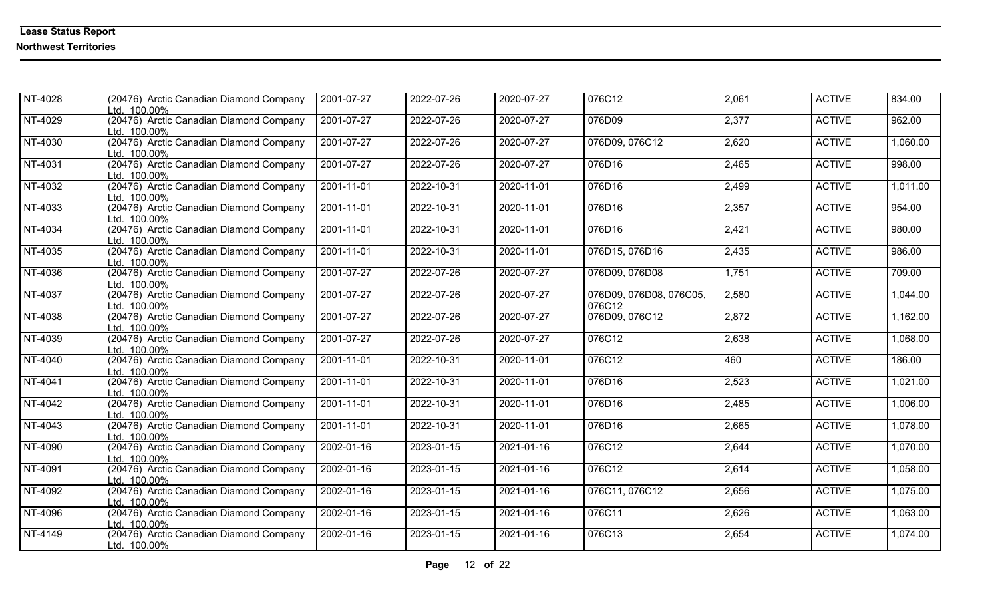| NT-4028 | (20476) Arctic Canadian Diamond Company<br>Ltd. 100.00% | 2001-07-27 | 2022-07-26 | 2020-07-27 | 076C12                            | 2,061 | <b>ACTIVE</b> | 834.00   |
|---------|---------------------------------------------------------|------------|------------|------------|-----------------------------------|-------|---------------|----------|
| NT-4029 | (20476) Arctic Canadian Diamond Company<br>Ltd. 100.00% | 2001-07-27 | 2022-07-26 | 2020-07-27 | 076D09                            | 2,377 | <b>ACTIVE</b> | 962.00   |
| NT-4030 | (20476) Arctic Canadian Diamond Company<br>Ltd. 100.00% | 2001-07-27 | 2022-07-26 | 2020-07-27 | 076D09, 076C12                    | 2,620 | <b>ACTIVE</b> | 1,060.00 |
| NT-4031 | (20476) Arctic Canadian Diamond Company<br>Ltd. 100.00% | 2001-07-27 | 2022-07-26 | 2020-07-27 | 076D16                            | 2,465 | <b>ACTIVE</b> | 998.00   |
| NT-4032 | (20476) Arctic Canadian Diamond Company<br>Ltd. 100.00% | 2001-11-01 | 2022-10-31 | 2020-11-01 | 076D16                            | 2,499 | <b>ACTIVE</b> | 1,011.00 |
| NT-4033 | (20476) Arctic Canadian Diamond Company<br>Ltd. 100.00% | 2001-11-01 | 2022-10-31 | 2020-11-01 | 076D16                            | 2,357 | <b>ACTIVE</b> | 954.00   |
| NT-4034 | (20476) Arctic Canadian Diamond Company<br>Ltd. 100.00% | 2001-11-01 | 2022-10-31 | 2020-11-01 | 076D16                            | 2,421 | <b>ACTIVE</b> | 980.00   |
| NT-4035 | (20476) Arctic Canadian Diamond Company<br>Ltd. 100.00% | 2001-11-01 | 2022-10-31 | 2020-11-01 | 076D15, 076D16                    | 2,435 | <b>ACTIVE</b> | 986.00   |
| NT-4036 | (20476) Arctic Canadian Diamond Company<br>Ltd. 100.00% | 2001-07-27 | 2022-07-26 | 2020-07-27 | 076D09, 076D08                    | 1,751 | <b>ACTIVE</b> | 709.00   |
| NT-4037 | (20476) Arctic Canadian Diamond Company<br>Ltd. 100.00% | 2001-07-27 | 2022-07-26 | 2020-07-27 | 076D09, 076D08, 076C05,<br>076C12 | 2,580 | <b>ACTIVE</b> | 1,044.00 |
| NT-4038 | (20476) Arctic Canadian Diamond Company<br>Ltd. 100.00% | 2001-07-27 | 2022-07-26 | 2020-07-27 | 076D09, 076C12                    | 2,872 | <b>ACTIVE</b> | 1,162.00 |
| NT-4039 | (20476) Arctic Canadian Diamond Company<br>Ltd. 100.00% | 2001-07-27 | 2022-07-26 | 2020-07-27 | 076C12                            | 2,638 | <b>ACTIVE</b> | 1,068.00 |
| NT-4040 | (20476) Arctic Canadian Diamond Company<br>Ltd. 100.00% | 2001-11-01 | 2022-10-31 | 2020-11-01 | 076C12                            | 460   | <b>ACTIVE</b> | 186.00   |
| NT-4041 | (20476) Arctic Canadian Diamond Company<br>Ltd. 100.00% | 2001-11-01 | 2022-10-31 | 2020-11-01 | 076D16                            | 2,523 | <b>ACTIVE</b> | 1,021.00 |
| NT-4042 | (20476) Arctic Canadian Diamond Company<br>Ltd. 100.00% | 2001-11-01 | 2022-10-31 | 2020-11-01 | 076D16                            | 2,485 | <b>ACTIVE</b> | 1,006.00 |
| NT-4043 | (20476) Arctic Canadian Diamond Company<br>Ltd. 100.00% | 2001-11-01 | 2022-10-31 | 2020-11-01 | 076D16                            | 2,665 | <b>ACTIVE</b> | 1,078.00 |
| NT-4090 | (20476) Arctic Canadian Diamond Company<br>Ltd. 100.00% | 2002-01-16 | 2023-01-15 | 2021-01-16 | 076C12                            | 2,644 | <b>ACTIVE</b> | 1,070.00 |
| NT-4091 | (20476) Arctic Canadian Diamond Company<br>Ltd. 100.00% | 2002-01-16 | 2023-01-15 | 2021-01-16 | 076C12                            | 2,614 | <b>ACTIVE</b> | 1,058.00 |
| NT-4092 | (20476) Arctic Canadian Diamond Company<br>Ltd. 100.00% | 2002-01-16 | 2023-01-15 | 2021-01-16 | 076C11, 076C12                    | 2,656 | <b>ACTIVE</b> | 1,075.00 |
| NT-4096 | (20476) Arctic Canadian Diamond Company<br>Ltd. 100.00% | 2002-01-16 | 2023-01-15 | 2021-01-16 | 076C11                            | 2,626 | <b>ACTIVE</b> | 1,063.00 |
| NT-4149 | (20476) Arctic Canadian Diamond Company<br>Ltd. 100.00% | 2002-01-16 | 2023-01-15 | 2021-01-16 | 076C13                            | 2,654 | <b>ACTIVE</b> | 1,074.00 |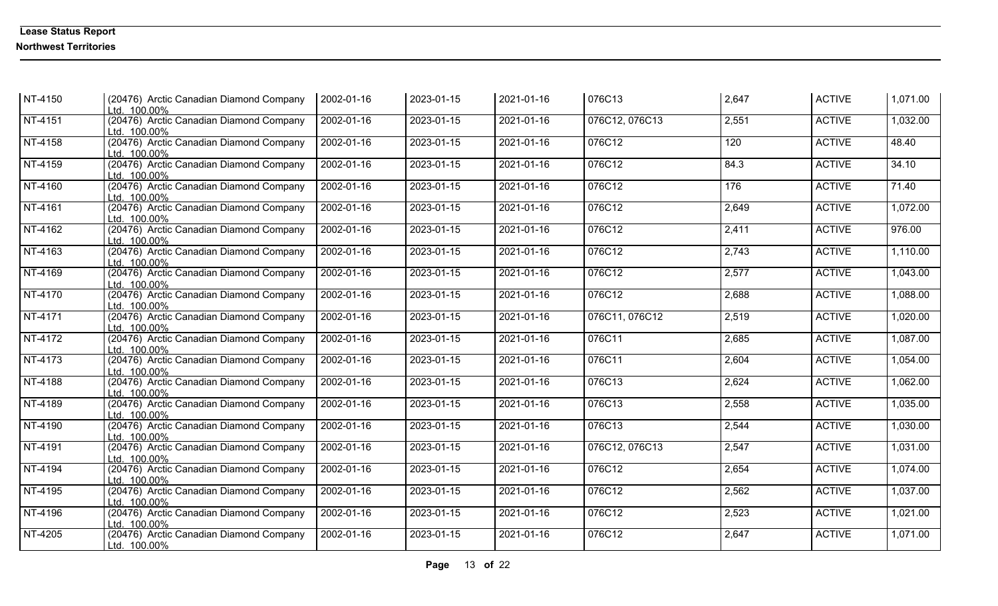| NT-4150 | (20476) Arctic Canadian Diamond Company<br>Ltd. 100.00% | 2002-01-16 | 2023-01-15 | 2021-01-16 | 076C13         | 2,647 | <b>ACTIVE</b> | 1,071.00 |
|---------|---------------------------------------------------------|------------|------------|------------|----------------|-------|---------------|----------|
| NT-4151 | (20476) Arctic Canadian Diamond Company<br>Ltd. 100.00% | 2002-01-16 | 2023-01-15 | 2021-01-16 | 076C12, 076C13 | 2,551 | <b>ACTIVE</b> | 1,032.00 |
| NT-4158 | (20476) Arctic Canadian Diamond Company<br>Ltd. 100.00% | 2002-01-16 | 2023-01-15 | 2021-01-16 | 076C12         | 120   | <b>ACTIVE</b> | 48.40    |
| NT-4159 | (20476) Arctic Canadian Diamond Company<br>Ltd. 100.00% | 2002-01-16 | 2023-01-15 | 2021-01-16 | 076C12         | 84.3  | <b>ACTIVE</b> | 34.10    |
| NT-4160 | (20476) Arctic Canadian Diamond Company<br>Ltd. 100.00% | 2002-01-16 | 2023-01-15 | 2021-01-16 | 076C12         | 176   | <b>ACTIVE</b> | 71.40    |
| NT-4161 | (20476) Arctic Canadian Diamond Company<br>Ltd. 100.00% | 2002-01-16 | 2023-01-15 | 2021-01-16 | 076C12         | 2,649 | <b>ACTIVE</b> | 1,072.00 |
| NT-4162 | (20476) Arctic Canadian Diamond Company<br>Ltd. 100.00% | 2002-01-16 | 2023-01-15 | 2021-01-16 | 076C12         | 2,411 | <b>ACTIVE</b> | 976.00   |
| NT-4163 | (20476) Arctic Canadian Diamond Company<br>Ltd. 100.00% | 2002-01-16 | 2023-01-15 | 2021-01-16 | 076C12         | 2,743 | <b>ACTIVE</b> | 1,110.00 |
| NT-4169 | (20476) Arctic Canadian Diamond Company<br>Ltd. 100.00% | 2002-01-16 | 2023-01-15 | 2021-01-16 | 076C12         | 2,577 | <b>ACTIVE</b> | 1,043.00 |
| NT-4170 | (20476) Arctic Canadian Diamond Company<br>Ltd. 100.00% | 2002-01-16 | 2023-01-15 | 2021-01-16 | 076C12         | 2,688 | <b>ACTIVE</b> | 1,088.00 |
| NT-4171 | (20476) Arctic Canadian Diamond Company<br>Ltd. 100.00% | 2002-01-16 | 2023-01-15 | 2021-01-16 | 076C11, 076C12 | 2,519 | <b>ACTIVE</b> | 1,020.00 |
| NT-4172 | (20476) Arctic Canadian Diamond Company<br>Ltd. 100.00% | 2002-01-16 | 2023-01-15 | 2021-01-16 | 076C11         | 2,685 | <b>ACTIVE</b> | 1,087.00 |
| NT-4173 | (20476) Arctic Canadian Diamond Company<br>Ltd. 100.00% | 2002-01-16 | 2023-01-15 | 2021-01-16 | 076C11         | 2,604 | <b>ACTIVE</b> | 1,054.00 |
| NT-4188 | (20476) Arctic Canadian Diamond Company<br>Ltd. 100.00% | 2002-01-16 | 2023-01-15 | 2021-01-16 | 076C13         | 2,624 | <b>ACTIVE</b> | 1,062.00 |
| NT-4189 | (20476) Arctic Canadian Diamond Company<br>Ltd. 100.00% | 2002-01-16 | 2023-01-15 | 2021-01-16 | 076C13         | 2,558 | <b>ACTIVE</b> | 1,035.00 |
| NT-4190 | (20476) Arctic Canadian Diamond Company<br>Ltd. 100.00% | 2002-01-16 | 2023-01-15 | 2021-01-16 | 076C13         | 2,544 | <b>ACTIVE</b> | 1,030.00 |
| NT-4191 | (20476) Arctic Canadian Diamond Company<br>Ltd. 100.00% | 2002-01-16 | 2023-01-15 | 2021-01-16 | 076C12, 076C13 | 2,547 | <b>ACTIVE</b> | 1,031.00 |
| NT-4194 | (20476) Arctic Canadian Diamond Company<br>Ltd. 100.00% | 2002-01-16 | 2023-01-15 | 2021-01-16 | 076C12         | 2,654 | <b>ACTIVE</b> | 1,074.00 |
| NT-4195 | (20476) Arctic Canadian Diamond Company<br>Ltd. 100.00% | 2002-01-16 | 2023-01-15 | 2021-01-16 | 076C12         | 2,562 | <b>ACTIVE</b> | 1,037.00 |
| NT-4196 | (20476) Arctic Canadian Diamond Company<br>Ltd. 100.00% | 2002-01-16 | 2023-01-15 | 2021-01-16 | 076C12         | 2,523 | <b>ACTIVE</b> | 1,021.00 |
| NT-4205 | (20476) Arctic Canadian Diamond Company<br>Ltd. 100.00% | 2002-01-16 | 2023-01-15 | 2021-01-16 | 076C12         | 2,647 | <b>ACTIVE</b> | 1,071.00 |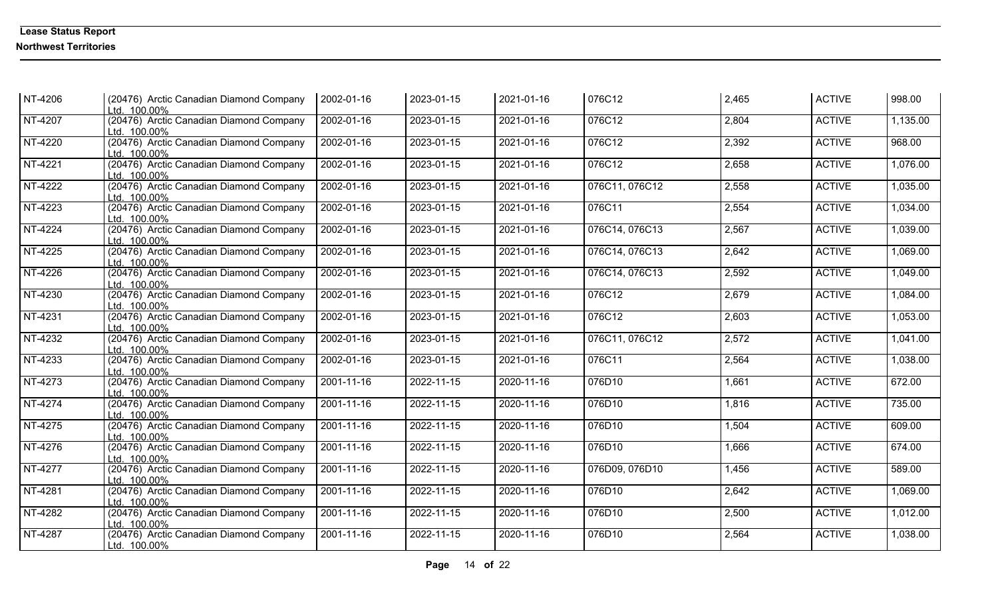| NT-4206   | (20476) Arctic Canadian Diamond Company<br>Ltd. 100.00% | 2002-01-16 | 2023-01-15 | 2021-01-16 | 076C12         | 2,465 | <b>ACTIVE</b> | 998.00   |
|-----------|---------------------------------------------------------|------------|------------|------------|----------------|-------|---------------|----------|
| NT-4207   | (20476) Arctic Canadian Diamond Company<br>Ltd. 100.00% | 2002-01-16 | 2023-01-15 | 2021-01-16 | 076C12         | 2,804 | <b>ACTIVE</b> | 1,135.00 |
| NT-4220   | (20476) Arctic Canadian Diamond Company<br>Ltd. 100.00% | 2002-01-16 | 2023-01-15 | 2021-01-16 | 076C12         | 2,392 | <b>ACTIVE</b> | 968.00   |
| NT-4221   | (20476) Arctic Canadian Diamond Company<br>Ltd. 100.00% | 2002-01-16 | 2023-01-15 | 2021-01-16 | 076C12         | 2,658 | <b>ACTIVE</b> | 1,076.00 |
| NT-4222   | (20476) Arctic Canadian Diamond Company<br>Ltd. 100.00% | 2002-01-16 | 2023-01-15 | 2021-01-16 | 076C11, 076C12 | 2,558 | <b>ACTIVE</b> | 1,035.00 |
| NT-4223   | (20476) Arctic Canadian Diamond Company<br>Ltd. 100.00% | 2002-01-16 | 2023-01-15 | 2021-01-16 | 076C11         | 2,554 | <b>ACTIVE</b> | 1,034.00 |
| NT-4224   | (20476) Arctic Canadian Diamond Company<br>Ltd. 100.00% | 2002-01-16 | 2023-01-15 | 2021-01-16 | 076C14, 076C13 | 2,567 | <b>ACTIVE</b> | 1,039.00 |
| NT-4225   | (20476) Arctic Canadian Diamond Company<br>Ltd. 100.00% | 2002-01-16 | 2023-01-15 | 2021-01-16 | 076C14, 076C13 | 2,642 | <b>ACTIVE</b> | 1,069.00 |
| NT-4226   | (20476) Arctic Canadian Diamond Company<br>Ltd. 100.00% | 2002-01-16 | 2023-01-15 | 2021-01-16 | 076C14, 076C13 | 2,592 | <b>ACTIVE</b> | 1,049.00 |
| NT-4230   | (20476) Arctic Canadian Diamond Company<br>Ltd. 100.00% | 2002-01-16 | 2023-01-15 | 2021-01-16 | 076C12         | 2,679 | <b>ACTIVE</b> | 1,084.00 |
| NT-4231   | (20476) Arctic Canadian Diamond Company<br>Ltd. 100.00% | 2002-01-16 | 2023-01-15 | 2021-01-16 | 076C12         | 2,603 | <b>ACTIVE</b> | 1,053.00 |
| NT-4232   | (20476) Arctic Canadian Diamond Company<br>Ltd. 100.00% | 2002-01-16 | 2023-01-15 | 2021-01-16 | 076C11, 076C12 | 2,572 | <b>ACTIVE</b> | 1,041.00 |
| NT-4233   | (20476) Arctic Canadian Diamond Company<br>Ltd. 100.00% | 2002-01-16 | 2023-01-15 | 2021-01-16 | 076C11         | 2,564 | <b>ACTIVE</b> | 1,038.00 |
| NT-4273   | (20476) Arctic Canadian Diamond Company<br>Ltd. 100.00% | 2001-11-16 | 2022-11-15 | 2020-11-16 | 076D10         | 1,661 | <b>ACTIVE</b> | 672.00   |
| NT-4274   | (20476) Arctic Canadian Diamond Company<br>Ltd. 100.00% | 2001-11-16 | 2022-11-15 | 2020-11-16 | 076D10         | 1,816 | <b>ACTIVE</b> | 735.00   |
| $NT-4275$ | (20476) Arctic Canadian Diamond Company<br>Ltd. 100.00% | 2001-11-16 | 2022-11-15 | 2020-11-16 | 076D10         | 1,504 | <b>ACTIVE</b> | 609.00   |
| NT-4276   | (20476) Arctic Canadian Diamond Company<br>Ltd. 100.00% | 2001-11-16 | 2022-11-15 | 2020-11-16 | 076D10         | 1,666 | <b>ACTIVE</b> | 674.00   |
| NT-4277   | (20476) Arctic Canadian Diamond Company<br>Ltd. 100.00% | 2001-11-16 | 2022-11-15 | 2020-11-16 | 076D09, 076D10 | 1,456 | <b>ACTIVE</b> | 589.00   |
| NT-4281   | (20476) Arctic Canadian Diamond Company<br>Ltd. 100.00% | 2001-11-16 | 2022-11-15 | 2020-11-16 | 076D10         | 2,642 | <b>ACTIVE</b> | 1,069.00 |
| NT-4282   | (20476) Arctic Canadian Diamond Company<br>Ltd. 100.00% | 2001-11-16 | 2022-11-15 | 2020-11-16 | 076D10         | 2,500 | <b>ACTIVE</b> | 1,012.00 |
| NT-4287   | (20476) Arctic Canadian Diamond Company<br>Ltd. 100.00% | 2001-11-16 | 2022-11-15 | 2020-11-16 | 076D10         | 2,564 | <b>ACTIVE</b> | 1,038.00 |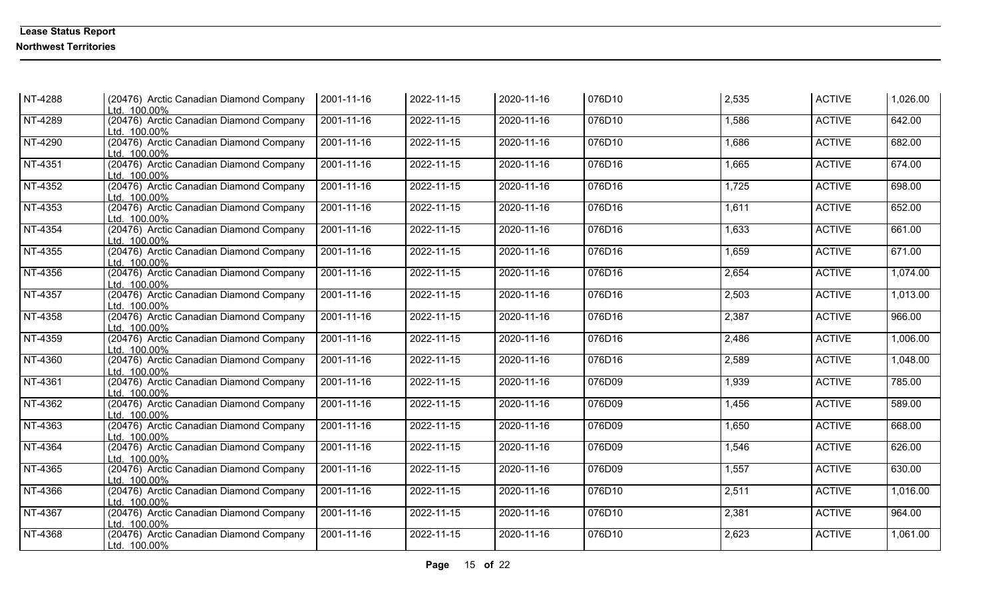| NT-4288 | (20476) Arctic Canadian Diamond Company<br>Ltd. 100.00% | 2001-11-16       | 2022-11-15 | 2020-11-16 | 076D10 | 2,535 | <b>ACTIVE</b> | 1,026.00 |
|---------|---------------------------------------------------------|------------------|------------|------------|--------|-------|---------------|----------|
| NT-4289 | (20476) Arctic Canadian Diamond Company<br>Ltd. 100.00% | 2001-11-16       | 2022-11-15 | 2020-11-16 | 076D10 | 1,586 | <b>ACTIVE</b> | 642.00   |
| NT-4290 | (20476) Arctic Canadian Diamond Company<br>Ltd. 100.00% | 2001-11-16       | 2022-11-15 | 2020-11-16 | 076D10 | 1,686 | <b>ACTIVE</b> | 682.00   |
| NT-4351 | (20476) Arctic Canadian Diamond Company<br>Ltd. 100.00% | $2001 - 11 - 16$ | 2022-11-15 | 2020-11-16 | 076D16 | 1,665 | <b>ACTIVE</b> | 674.00   |
| NT-4352 | (20476) Arctic Canadian Diamond Company<br>Ltd. 100.00% | 2001-11-16       | 2022-11-15 | 2020-11-16 | 076D16 | 1,725 | <b>ACTIVE</b> | 698.00   |
| NT-4353 | (20476) Arctic Canadian Diamond Company<br>Ltd. 100.00% | 2001-11-16       | 2022-11-15 | 2020-11-16 | 076D16 | 1,611 | <b>ACTIVE</b> | 652.00   |
| NT-4354 | (20476) Arctic Canadian Diamond Company<br>Ltd. 100.00% | $2001 - 11 - 16$ | 2022-11-15 | 2020-11-16 | 076D16 | 1,633 | <b>ACTIVE</b> | 661.00   |
| NT-4355 | (20476) Arctic Canadian Diamond Company<br>Ltd. 100.00% | $2001 - 11 - 16$ | 2022-11-15 | 2020-11-16 | 076D16 | 1,659 | <b>ACTIVE</b> | 671.00   |
| NT-4356 | (20476) Arctic Canadian Diamond Company<br>Ltd. 100.00% | 2001-11-16       | 2022-11-15 | 2020-11-16 | 076D16 | 2,654 | <b>ACTIVE</b> | 1,074.00 |
| NT-4357 | (20476) Arctic Canadian Diamond Company<br>Ltd. 100.00% | 2001-11-16       | 2022-11-15 | 2020-11-16 | 076D16 | 2,503 | <b>ACTIVE</b> | 1,013.00 |
| NT-4358 | (20476) Arctic Canadian Diamond Company<br>Ltd. 100.00% | 2001-11-16       | 2022-11-15 | 2020-11-16 | 076D16 | 2,387 | <b>ACTIVE</b> | 966.00   |
| NT-4359 | (20476) Arctic Canadian Diamond Company<br>Ltd. 100.00% | 2001-11-16       | 2022-11-15 | 2020-11-16 | 076D16 | 2,486 | <b>ACTIVE</b> | 1,006.00 |
| NT-4360 | (20476) Arctic Canadian Diamond Company<br>Ltd. 100.00% | 2001-11-16       | 2022-11-15 | 2020-11-16 | 076D16 | 2,589 | <b>ACTIVE</b> | 1,048.00 |
| NT-4361 | (20476) Arctic Canadian Diamond Company<br>Ltd. 100.00% | 2001-11-16       | 2022-11-15 | 2020-11-16 | 076D09 | 1,939 | <b>ACTIVE</b> | 785.00   |
| NT-4362 | (20476) Arctic Canadian Diamond Company<br>Ltd. 100.00% | 2001-11-16       | 2022-11-15 | 2020-11-16 | 076D09 | 1,456 | <b>ACTIVE</b> | 589.00   |
| NT-4363 | (20476) Arctic Canadian Diamond Company<br>Ltd. 100.00% | 2001-11-16       | 2022-11-15 | 2020-11-16 | 076D09 | 1,650 | <b>ACTIVE</b> | 668.00   |
| NT-4364 | (20476) Arctic Canadian Diamond Company<br>Ltd. 100.00% | 2001-11-16       | 2022-11-15 | 2020-11-16 | 076D09 | 1,546 | <b>ACTIVE</b> | 626.00   |
| NT-4365 | (20476) Arctic Canadian Diamond Company<br>Ltd. 100.00% | 2001-11-16       | 2022-11-15 | 2020-11-16 | 076D09 | 1,557 | <b>ACTIVE</b> | 630.00   |
| NT-4366 | (20476) Arctic Canadian Diamond Company<br>Ltd. 100.00% | $2001 - 11 - 16$ | 2022-11-15 | 2020-11-16 | 076D10 | 2,511 | <b>ACTIVE</b> | 1,016.00 |
| NT-4367 | (20476) Arctic Canadian Diamond Company<br>Ltd. 100.00% | 2001-11-16       | 2022-11-15 | 2020-11-16 | 076D10 | 2,381 | <b>ACTIVE</b> | 964.00   |
| NT-4368 | (20476) Arctic Canadian Diamond Company<br>Ltd. 100.00% | 2001-11-16       | 2022-11-15 | 2020-11-16 | 076D10 | 2,623 | <b>ACTIVE</b> | 1,061.00 |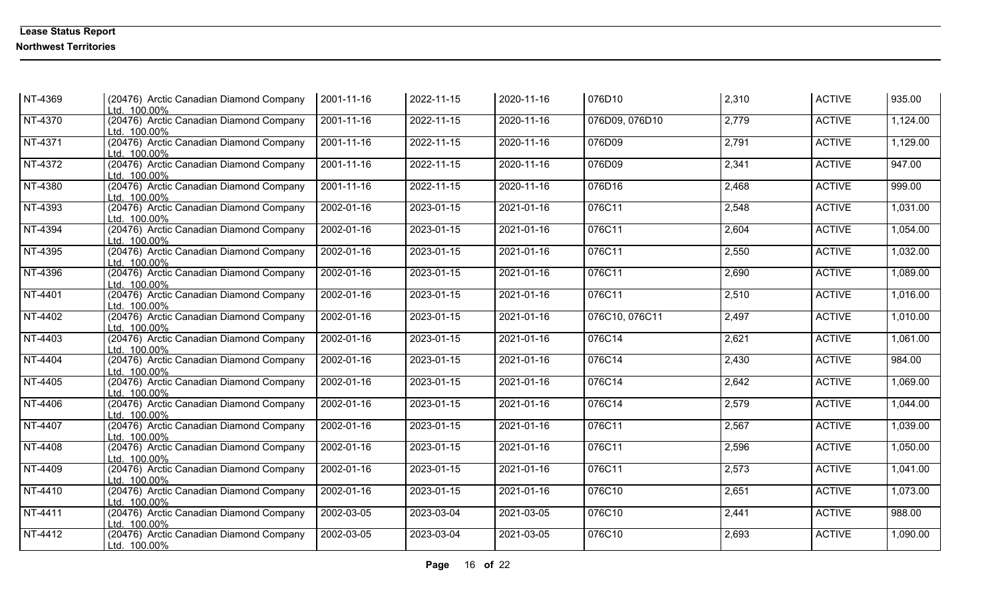| NT-4369 | (20476) Arctic Canadian Diamond Company   2001-11-16<br>Ltd. 100.00% |                  | 2022-11-15 | 2020-11-16 | 076D10         | 2,310 | <b>ACTIVE</b> | 935.00   |
|---------|----------------------------------------------------------------------|------------------|------------|------------|----------------|-------|---------------|----------|
| NT-4370 | (20476) Arctic Canadian Diamond Company<br>Ltd. 100.00%              | 2001-11-16       | 2022-11-15 | 2020-11-16 | 076D09, 076D10 | 2,779 | <b>ACTIVE</b> | 1,124.00 |
| NT-4371 | (20476) Arctic Canadian Diamond Company<br>Ltd. 100.00%              | 2001-11-16       | 2022-11-15 | 2020-11-16 | 076D09         | 2,791 | <b>ACTIVE</b> | 1,129.00 |
| NT-4372 | (20476) Arctic Canadian Diamond Company<br>Ltd. 100.00%              | $2001 - 11 - 16$ | 2022-11-15 | 2020-11-16 | 076D09         | 2,341 | <b>ACTIVE</b> | 947.00   |
| NT-4380 | (20476) Arctic Canadian Diamond Company<br>Ltd. 100.00%              | $2001 - 11 - 16$ | 2022-11-15 | 2020-11-16 | 076D16         | 2,468 | <b>ACTIVE</b> | 999.00   |
| NT-4393 | (20476) Arctic Canadian Diamond Company<br>Ltd. 100.00%              | 2002-01-16       | 2023-01-15 | 2021-01-16 | 076C11         | 2,548 | <b>ACTIVE</b> | 1,031.00 |
| NT-4394 | (20476) Arctic Canadian Diamond Company<br>Ltd. 100.00%              | 2002-01-16       | 2023-01-15 | 2021-01-16 | 076C11         | 2,604 | <b>ACTIVE</b> | 1,054.00 |
| NT-4395 | (20476) Arctic Canadian Diamond Company<br>Ltd. 100.00%              | 2002-01-16       | 2023-01-15 | 2021-01-16 | 076C11         | 2,550 | <b>ACTIVE</b> | 1,032.00 |
| NT-4396 | (20476) Arctic Canadian Diamond Company<br>Ltd. 100.00%              | 2002-01-16       | 2023-01-15 | 2021-01-16 | 076C11         | 2,690 | <b>ACTIVE</b> | 1,089.00 |
| NT-4401 | (20476) Arctic Canadian Diamond Company<br>Ltd. 100.00%              | 2002-01-16       | 2023-01-15 | 2021-01-16 | 076C11         | 2,510 | <b>ACTIVE</b> | 1,016.00 |
| NT-4402 | (20476) Arctic Canadian Diamond Company<br>Ltd. 100.00%              | 2002-01-16       | 2023-01-15 | 2021-01-16 | 076C10, 076C11 | 2,497 | <b>ACTIVE</b> | 1,010.00 |
| NT-4403 | (20476) Arctic Canadian Diamond Company<br>Ltd. 100.00%              | 2002-01-16       | 2023-01-15 | 2021-01-16 | 076C14         | 2,621 | <b>ACTIVE</b> | 1,061.00 |
| NT-4404 | (20476) Arctic Canadian Diamond Company<br>Ltd. 100.00%              | 2002-01-16       | 2023-01-15 | 2021-01-16 | 076C14         | 2,430 | <b>ACTIVE</b> | 984.00   |
| NT-4405 | (20476) Arctic Canadian Diamond Company<br>Ltd. 100.00%              | 2002-01-16       | 2023-01-15 | 2021-01-16 | 076C14         | 2,642 | <b>ACTIVE</b> | 1,069.00 |
| NT-4406 | (20476) Arctic Canadian Diamond Company<br>Ltd. 100.00%              | 2002-01-16       | 2023-01-15 | 2021-01-16 | 076C14         | 2,579 | <b>ACTIVE</b> | 1,044.00 |
| NT-4407 | (20476) Arctic Canadian Diamond Company<br>Ltd. 100.00%              | 2002-01-16       | 2023-01-15 | 2021-01-16 | 076C11         | 2,567 | <b>ACTIVE</b> | 1,039.00 |
| NT-4408 | (20476) Arctic Canadian Diamond Company<br>Ltd. 100.00%              | 2002-01-16       | 2023-01-15 | 2021-01-16 | 076C11         | 2,596 | <b>ACTIVE</b> | 1,050.00 |
| NT-4409 | (20476) Arctic Canadian Diamond Company<br>Ltd. 100.00%              | 2002-01-16       | 2023-01-15 | 2021-01-16 | 076C11         | 2,573 | <b>ACTIVE</b> | 1,041.00 |
| NT-4410 | (20476) Arctic Canadian Diamond Company<br>Ltd. 100.00%              | 2002-01-16       | 2023-01-15 | 2021-01-16 | 076C10         | 2,651 | <b>ACTIVE</b> | 1,073.00 |
| NT-4411 | (20476) Arctic Canadian Diamond Company<br>Ltd. 100.00%              | 2002-03-05       | 2023-03-04 | 2021-03-05 | 076C10         | 2,441 | <b>ACTIVE</b> | 988.00   |
| NT-4412 | (20476) Arctic Canadian Diamond Company<br>Ltd. 100.00%              | 2002-03-05       | 2023-03-04 | 2021-03-05 | 076C10         | 2,693 | <b>ACTIVE</b> | 1,090.00 |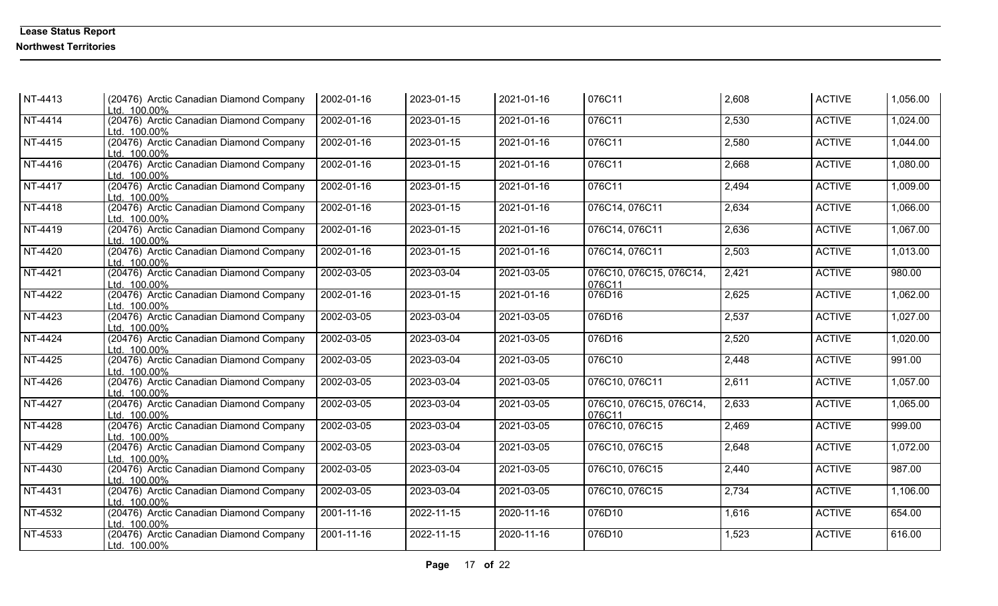| NT-4413 | (20476) Arctic Canadian Diamond Company<br>Ltd. 100.00% | 2002-01-16 | 2023-01-15 | 2021-01-16       | 076C11                            | 2,608 | <b>ACTIVE</b> | 1,056.00 |
|---------|---------------------------------------------------------|------------|------------|------------------|-----------------------------------|-------|---------------|----------|
| NT-4414 | (20476) Arctic Canadian Diamond Company<br>Ltd. 100.00% | 2002-01-16 | 2023-01-15 | $2021 - 01 - 16$ | 076C11                            | 2,530 | <b>ACTIVE</b> | 1,024.00 |
| NT-4415 | (20476) Arctic Canadian Diamond Company<br>Ltd. 100.00% | 2002-01-16 | 2023-01-15 | 2021-01-16       | 076C11                            | 2,580 | <b>ACTIVE</b> | 1,044.00 |
| NT-4416 | (20476) Arctic Canadian Diamond Company<br>Ltd. 100.00% | 2002-01-16 | 2023-01-15 | 2021-01-16       | 076C11                            | 2,668 | <b>ACTIVE</b> | 1,080.00 |
| NT-4417 | (20476) Arctic Canadian Diamond Company<br>Ltd. 100.00% | 2002-01-16 | 2023-01-15 | 2021-01-16       | 076C11                            | 2,494 | <b>ACTIVE</b> | 1,009.00 |
| NT-4418 | (20476) Arctic Canadian Diamond Company<br>Ltd. 100.00% | 2002-01-16 | 2023-01-15 | 2021-01-16       | 076C14, 076C11                    | 2,634 | <b>ACTIVE</b> | 1,066.00 |
| NT-4419 | (20476) Arctic Canadian Diamond Company<br>Ltd. 100.00% | 2002-01-16 | 2023-01-15 | 2021-01-16       | 076C14, 076C11                    | 2,636 | <b>ACTIVE</b> | 1,067.00 |
| NT-4420 | (20476) Arctic Canadian Diamond Company<br>Ltd. 100.00% | 2002-01-16 | 2023-01-15 | 2021-01-16       | 076C14, 076C11                    | 2,503 | <b>ACTIVE</b> | 1,013.00 |
| NT-4421 | (20476) Arctic Canadian Diamond Company<br>Ltd. 100.00% | 2002-03-05 | 2023-03-04 | 2021-03-05       | 076C10, 076C15, 076C14,<br>076C11 | 2,421 | <b>ACTIVE</b> | 980.00   |
| NT-4422 | (20476) Arctic Canadian Diamond Company<br>Ltd. 100.00% | 2002-01-16 | 2023-01-15 | 2021-01-16       | 076D16                            | 2,625 | <b>ACTIVE</b> | 1,062.00 |
| NT-4423 | (20476) Arctic Canadian Diamond Company<br>Ltd. 100.00% | 2002-03-05 | 2023-03-04 | 2021-03-05       | 076D16                            | 2,537 | <b>ACTIVE</b> | 1,027.00 |
| NT-4424 | (20476) Arctic Canadian Diamond Company<br>Ltd. 100.00% | 2002-03-05 | 2023-03-04 | 2021-03-05       | 076D16                            | 2,520 | <b>ACTIVE</b> | 1,020.00 |
| NT-4425 | (20476) Arctic Canadian Diamond Company<br>Ltd. 100.00% | 2002-03-05 | 2023-03-04 | 2021-03-05       | 076C10                            | 2,448 | <b>ACTIVE</b> | 991.00   |
| NT-4426 | (20476) Arctic Canadian Diamond Company<br>Ltd. 100.00% | 2002-03-05 | 2023-03-04 | 2021-03-05       | 076C10, 076C11                    | 2,611 | <b>ACTIVE</b> | 1,057.00 |
| NT-4427 | (20476) Arctic Canadian Diamond Company<br>Ltd. 100.00% | 2002-03-05 | 2023-03-04 | 2021-03-05       | 076C10, 076C15, 076C14,<br>076C11 | 2,633 | <b>ACTIVE</b> | 1,065.00 |
| NT-4428 | (20476) Arctic Canadian Diamond Company<br>Ltd. 100.00% | 2002-03-05 | 2023-03-04 | 2021-03-05       | 076C10, 076C15                    | 2,469 | <b>ACTIVE</b> | 999.00   |
| NT-4429 | (20476) Arctic Canadian Diamond Company<br>Ltd. 100.00% | 2002-03-05 | 2023-03-04 | $2021 - 03 - 05$ | 076C10, 076C15                    | 2,648 | <b>ACTIVE</b> | 1,072.00 |
| NT-4430 | (20476) Arctic Canadian Diamond Company<br>Ltd. 100.00% | 2002-03-05 | 2023-03-04 | 2021-03-05       | 076C10, 076C15                    | 2,440 | <b>ACTIVE</b> | 987.00   |
| NT-4431 | (20476) Arctic Canadian Diamond Company<br>Ltd. 100.00% | 2002-03-05 | 2023-03-04 | 2021-03-05       | 076C10, 076C15                    | 2,734 | <b>ACTIVE</b> | 1,106.00 |
| NT-4532 | (20476) Arctic Canadian Diamond Company<br>Ltd. 100.00% | 2001-11-16 | 2022-11-15 | 2020-11-16       | 076D10                            | 1,616 | <b>ACTIVE</b> | 654.00   |
| NT-4533 | (20476) Arctic Canadian Diamond Company<br>Ltd. 100.00% | 2001-11-16 | 2022-11-15 | 2020-11-16       | 076D10                            | 1,523 | <b>ACTIVE</b> | 616.00   |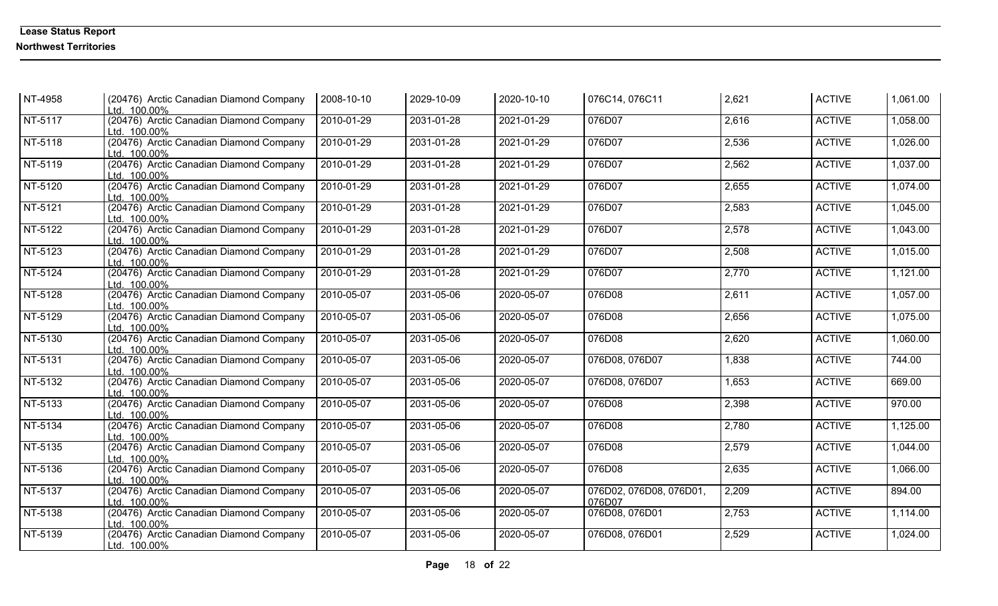| NT-4958                     | (20476) Arctic Canadian Diamond Company<br>Ltd. 100.00% | 2008-10-10 | 2029-10-09 | 2020-10-10 | 076C14, 076C11                    | 2,621 | <b>ACTIVE</b> | 1,061.00 |
|-----------------------------|---------------------------------------------------------|------------|------------|------------|-----------------------------------|-------|---------------|----------|
| NT-5117                     | (20476) Arctic Canadian Diamond Company<br>Ltd. 100.00% | 2010-01-29 | 2031-01-28 | 2021-01-29 | 076D07                            | 2,616 | <b>ACTIVE</b> | 1,058.00 |
| NT-5118                     | (20476) Arctic Canadian Diamond Company<br>Ltd. 100.00% | 2010-01-29 | 2031-01-28 | 2021-01-29 | 076D07                            | 2,536 | <b>ACTIVE</b> | 1,026.00 |
| NT-5119                     | (20476) Arctic Canadian Diamond Company<br>Ltd. 100.00% | 2010-01-29 | 2031-01-28 | 2021-01-29 | 076D07                            | 2,562 | <b>ACTIVE</b> | 1,037.00 |
| NT-5120                     | (20476) Arctic Canadian Diamond Company<br>Ltd. 100.00% | 2010-01-29 | 2031-01-28 | 2021-01-29 | 076D07                            | 2,655 | <b>ACTIVE</b> | 1,074.00 |
| NT-5121                     | (20476) Arctic Canadian Diamond Company<br>Ltd. 100.00% | 2010-01-29 | 2031-01-28 | 2021-01-29 | 076D07                            | 2,583 | <b>ACTIVE</b> | 1,045.00 |
| NT-5122                     | (20476) Arctic Canadian Diamond Company<br>Ltd. 100.00% | 2010-01-29 | 2031-01-28 | 2021-01-29 | 076D07                            | 2,578 | <b>ACTIVE</b> | 1,043.00 |
| NT-5123                     | (20476) Arctic Canadian Diamond Company<br>Ltd. 100.00% | 2010-01-29 | 2031-01-28 | 2021-01-29 | 076D07                            | 2,508 | <b>ACTIVE</b> | 1,015.00 |
| NT-5124                     | (20476) Arctic Canadian Diamond Company<br>Ltd. 100.00% | 2010-01-29 | 2031-01-28 | 2021-01-29 | 076D07                            | 2,770 | <b>ACTIVE</b> | 1,121.00 |
| NT-5128                     | (20476) Arctic Canadian Diamond Company<br>Ltd. 100.00% | 2010-05-07 | 2031-05-06 | 2020-05-07 | 076D08                            | 2,611 | <b>ACTIVE</b> | 1,057.00 |
| NT-5129                     | (20476) Arctic Canadian Diamond Company<br>Ltd. 100.00% | 2010-05-07 | 2031-05-06 | 2020-05-07 | 076D08                            | 2,656 | <b>ACTIVE</b> | 1,075.00 |
| NT-5130                     | (20476) Arctic Canadian Diamond Company<br>Ltd. 100.00% | 2010-05-07 | 2031-05-06 | 2020-05-07 | 076D08                            | 2,620 | <b>ACTIVE</b> | 1,060.00 |
| NT-5131                     | (20476) Arctic Canadian Diamond Company<br>Ltd. 100.00% | 2010-05-07 | 2031-05-06 | 2020-05-07 | 076D08, 076D07                    | 1,838 | <b>ACTIVE</b> | 744.00   |
| NT-5132                     | (20476) Arctic Canadian Diamond Company<br>Ltd. 100.00% | 2010-05-07 | 2031-05-06 | 2020-05-07 | 076D08, 076D07                    | 1,653 | <b>ACTIVE</b> | 669.00   |
| NT-5133                     | (20476) Arctic Canadian Diamond Company<br>Ltd. 100.00% | 2010-05-07 | 2031-05-06 | 2020-05-07 | 076D08                            | 2,398 | <b>ACTIVE</b> | 970.00   |
| $\overline{\text{NT-5134}}$ | (20476) Arctic Canadian Diamond Company<br>Ltd. 100.00% | 2010-05-07 | 2031-05-06 | 2020-05-07 | 076D08                            | 2,780 | <b>ACTIVE</b> | 1,125.00 |
| NT-5135                     | (20476) Arctic Canadian Diamond Company<br>Ltd. 100.00% | 2010-05-07 | 2031-05-06 | 2020-05-07 | 076D08                            | 2,579 | <b>ACTIVE</b> | 1,044.00 |
| NT-5136                     | (20476) Arctic Canadian Diamond Company<br>Ltd. 100.00% | 2010-05-07 | 2031-05-06 | 2020-05-07 | 076D08                            | 2,635 | <b>ACTIVE</b> | 1,066.00 |
| NT-5137                     | (20476) Arctic Canadian Diamond Company<br>Ltd. 100.00% | 2010-05-07 | 2031-05-06 | 2020-05-07 | 076D02, 076D08, 076D01,<br>076D07 | 2,209 | <b>ACTIVE</b> | 894.00   |
| NT-5138                     | (20476) Arctic Canadian Diamond Company<br>Ltd. 100.00% | 2010-05-07 | 2031-05-06 | 2020-05-07 | 076D08, 076D01                    | 2,753 | <b>ACTIVE</b> | 1,114.00 |
| NT-5139                     | (20476) Arctic Canadian Diamond Company<br>Ltd. 100.00% | 2010-05-07 | 2031-05-06 | 2020-05-07 | 076D08, 076D01                    | 2,529 | <b>ACTIVE</b> | 1,024.00 |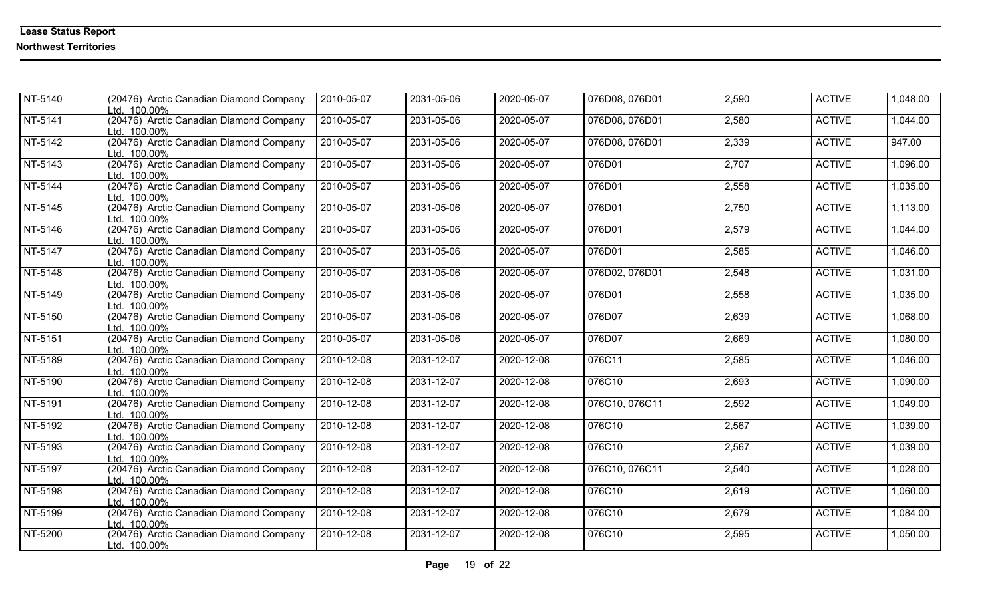| NT-5140 | (20476) Arctic Canadian Diamond Company<br>Ltd. 100.00% | 2010-05-07 | 2031-05-06 | 2020-05-07 | 076D08, 076D01 | 2,590 | <b>ACTIVE</b> | 1,048.00 |
|---------|---------------------------------------------------------|------------|------------|------------|----------------|-------|---------------|----------|
| NT-5141 | (20476) Arctic Canadian Diamond Company<br>Ltd. 100.00% | 2010-05-07 | 2031-05-06 | 2020-05-07 | 076D08, 076D01 | 2,580 | <b>ACTIVE</b> | 1,044.00 |
| NT-5142 | (20476) Arctic Canadian Diamond Company<br>Ltd. 100.00% | 2010-05-07 | 2031-05-06 | 2020-05-07 | 076D08, 076D01 | 2,339 | <b>ACTIVE</b> | 947.00   |
| NT-5143 | (20476) Arctic Canadian Diamond Company<br>Ltd. 100.00% | 2010-05-07 | 2031-05-06 | 2020-05-07 | 076D01         | 2,707 | <b>ACTIVE</b> | 1,096.00 |
| NT-5144 | (20476) Arctic Canadian Diamond Company<br>Ltd. 100.00% | 2010-05-07 | 2031-05-06 | 2020-05-07 | 076D01         | 2,558 | <b>ACTIVE</b> | 1,035.00 |
| NT-5145 | (20476) Arctic Canadian Diamond Company<br>Ltd. 100.00% | 2010-05-07 | 2031-05-06 | 2020-05-07 | 076D01         | 2,750 | <b>ACTIVE</b> | 1,113.00 |
| NT-5146 | (20476) Arctic Canadian Diamond Company<br>Ltd. 100.00% | 2010-05-07 | 2031-05-06 | 2020-05-07 | 076D01         | 2,579 | <b>ACTIVE</b> | 1,044.00 |
| NT-5147 | (20476) Arctic Canadian Diamond Company<br>Ltd. 100.00% | 2010-05-07 | 2031-05-06 | 2020-05-07 | 076D01         | 2,585 | <b>ACTIVE</b> | 1,046.00 |
| NT-5148 | (20476) Arctic Canadian Diamond Company<br>Ltd. 100.00% | 2010-05-07 | 2031-05-06 | 2020-05-07 | 076D02, 076D01 | 2,548 | <b>ACTIVE</b> | 1,031.00 |
| NT-5149 | (20476) Arctic Canadian Diamond Company<br>Ltd. 100.00% | 2010-05-07 | 2031-05-06 | 2020-05-07 | 076D01         | 2,558 | <b>ACTIVE</b> | 1,035.00 |
| NT-5150 | (20476) Arctic Canadian Diamond Company<br>Ltd. 100.00% | 2010-05-07 | 2031-05-06 | 2020-05-07 | 076D07         | 2,639 | <b>ACTIVE</b> | 1,068.00 |
| NT-5151 | (20476) Arctic Canadian Diamond Company<br>Ltd. 100.00% | 2010-05-07 | 2031-05-06 | 2020-05-07 | 076D07         | 2,669 | <b>ACTIVE</b> | 1,080.00 |
| NT-5189 | (20476) Arctic Canadian Diamond Company<br>Ltd. 100.00% | 2010-12-08 | 2031-12-07 | 2020-12-08 | 076C11         | 2,585 | <b>ACTIVE</b> | 1,046.00 |
| NT-5190 | (20476) Arctic Canadian Diamond Company<br>Ltd. 100.00% | 2010-12-08 | 2031-12-07 | 2020-12-08 | 076C10         | 2,693 | <b>ACTIVE</b> | 1,090.00 |
| NT-5191 | (20476) Arctic Canadian Diamond Company<br>Ltd. 100.00% | 2010-12-08 | 2031-12-07 | 2020-12-08 | 076C10, 076C11 | 2,592 | <b>ACTIVE</b> | 1,049.00 |
| NT-5192 | (20476) Arctic Canadian Diamond Company<br>Ltd. 100.00% | 2010-12-08 | 2031-12-07 | 2020-12-08 | 076C10         | 2,567 | <b>ACTIVE</b> | 1,039.00 |
| NT-5193 | (20476) Arctic Canadian Diamond Company<br>Ltd. 100.00% | 2010-12-08 | 2031-12-07 | 2020-12-08 | 076C10         | 2,567 | <b>ACTIVE</b> | 1,039.00 |
| NT-5197 | (20476) Arctic Canadian Diamond Company<br>Ltd. 100.00% | 2010-12-08 | 2031-12-07 | 2020-12-08 | 076C10, 076C11 | 2,540 | <b>ACTIVE</b> | 1,028.00 |
| NT-5198 | (20476) Arctic Canadian Diamond Company<br>Ltd. 100.00% | 2010-12-08 | 2031-12-07 | 2020-12-08 | 076C10         | 2,619 | <b>ACTIVE</b> | 1,060.00 |
| NT-5199 | (20476) Arctic Canadian Diamond Company<br>Ltd. 100.00% | 2010-12-08 | 2031-12-07 | 2020-12-08 | 076C10         | 2,679 | <b>ACTIVE</b> | 1,084.00 |
| NT-5200 | (20476) Arctic Canadian Diamond Company<br>Ltd. 100.00% | 2010-12-08 | 2031-12-07 | 2020-12-08 | 076C10         | 2,595 | <b>ACTIVE</b> | 1,050.00 |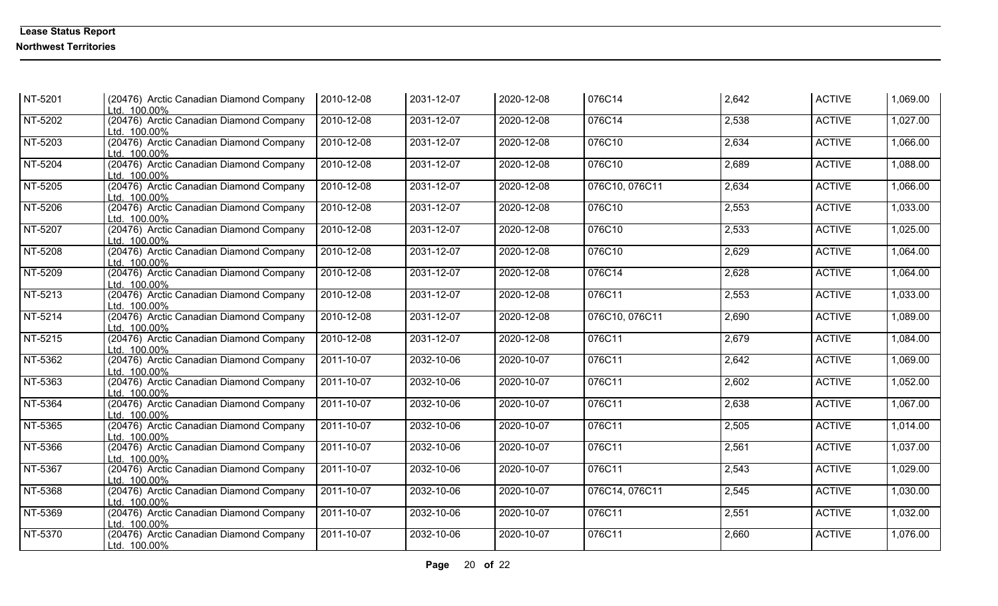| NT-5201   | (20476) Arctic Canadian Diamond Company<br>Ltd. 100.00% | 2010-12-08       | 2031-12-07 | 2020-12-08 | 076C14         | 2,642 | <b>ACTIVE</b> | 1,069.00 |
|-----------|---------------------------------------------------------|------------------|------------|------------|----------------|-------|---------------|----------|
| NT-5202   | (20476) Arctic Canadian Diamond Company<br>Ltd. 100.00% | 2010-12-08       | 2031-12-07 | 2020-12-08 | 076C14         | 2,538 | <b>ACTIVE</b> | 1,027.00 |
| NT-5203   | (20476) Arctic Canadian Diamond Company<br>Ltd. 100.00% | 2010-12-08       | 2031-12-07 | 2020-12-08 | 076C10         | 2,634 | <b>ACTIVE</b> | 1,066.00 |
| NT-5204   | (20476) Arctic Canadian Diamond Company<br>Ltd. 100.00% | 2010-12-08       | 2031-12-07 | 2020-12-08 | 076C10         | 2,689 | <b>ACTIVE</b> | 1,088.00 |
| NT-5205   | (20476) Arctic Canadian Diamond Company<br>Ltd. 100.00% | 2010-12-08       | 2031-12-07 | 2020-12-08 | 076C10, 076C11 | 2,634 | <b>ACTIVE</b> | 1,066.00 |
| NT-5206   | (20476) Arctic Canadian Diamond Company<br>Ltd. 100.00% | 2010-12-08       | 2031-12-07 | 2020-12-08 | 076C10         | 2,553 | <b>ACTIVE</b> | 1,033.00 |
| NT-5207   | (20476) Arctic Canadian Diamond Company<br>Ltd. 100.00% | 2010-12-08       | 2031-12-07 | 2020-12-08 | 076C10         | 2,533 | <b>ACTIVE</b> | 1,025.00 |
| NT-5208   | (20476) Arctic Canadian Diamond Company<br>Ltd. 100.00% | 2010-12-08       | 2031-12-07 | 2020-12-08 | 076C10         | 2,629 | <b>ACTIVE</b> | 1,064.00 |
| NT-5209   | (20476) Arctic Canadian Diamond Company<br>Ltd. 100.00% | 2010-12-08       | 2031-12-07 | 2020-12-08 | 076C14         | 2,628 | <b>ACTIVE</b> | 1,064.00 |
| $NT-5213$ | (20476) Arctic Canadian Diamond Company<br>Ltd. 100.00% | 2010-12-08       | 2031-12-07 | 2020-12-08 | 076C11         | 2,553 | <b>ACTIVE</b> | 1,033.00 |
| $NT-5214$ | (20476) Arctic Canadian Diamond Company<br>Ltd. 100.00% | 2010-12-08       | 2031-12-07 | 2020-12-08 | 076C10, 076C11 | 2,690 | <b>ACTIVE</b> | 1,089.00 |
| NT-5215   | (20476) Arctic Canadian Diamond Company<br>Ltd. 100.00% | 2010-12-08       | 2031-12-07 | 2020-12-08 | 076C11         | 2,679 | <b>ACTIVE</b> | 1,084.00 |
| NT-5362   | (20476) Arctic Canadian Diamond Company<br>Ltd. 100.00% | 2011-10-07       | 2032-10-06 | 2020-10-07 | 076C11         | 2,642 | <b>ACTIVE</b> | 1,069.00 |
| NT-5363   | (20476) Arctic Canadian Diamond Company<br>Ltd. 100.00% | 2011-10-07       | 2032-10-06 | 2020-10-07 | 076C11         | 2,602 | <b>ACTIVE</b> | 1,052.00 |
| $NT-5364$ | (20476) Arctic Canadian Diamond Company<br>Ltd. 100.00% | 2011-10-07       | 2032-10-06 | 2020-10-07 | 076C11         | 2,638 | <b>ACTIVE</b> | 1,067.00 |
| NT-5365   | (20476) Arctic Canadian Diamond Company<br>Ltd. 100.00% | $2011 - 10 - 07$ | 2032-10-06 | 2020-10-07 | 076C11         | 2,505 | <b>ACTIVE</b> | 1,014.00 |
| NT-5366   | (20476) Arctic Canadian Diamond Company<br>Ltd. 100.00% | 2011-10-07       | 2032-10-06 | 2020-10-07 | 076C11         | 2,561 | <b>ACTIVE</b> | 1,037.00 |
| NT-5367   | (20476) Arctic Canadian Diamond Company<br>Ltd. 100.00% | 2011-10-07       | 2032-10-06 | 2020-10-07 | 076C11         | 2,543 | <b>ACTIVE</b> | 1,029.00 |
| NT-5368   | (20476) Arctic Canadian Diamond Company<br>Ltd. 100.00% | 2011-10-07       | 2032-10-06 | 2020-10-07 | 076C14, 076C11 | 2,545 | <b>ACTIVE</b> | 1,030.00 |
| NT-5369   | (20476) Arctic Canadian Diamond Company<br>Ltd. 100.00% | 2011-10-07       | 2032-10-06 | 2020-10-07 | 076C11         | 2,551 | <b>ACTIVE</b> | 1,032.00 |
| NT-5370   | (20476) Arctic Canadian Diamond Company<br>Ltd. 100.00% | 2011-10-07       | 2032-10-06 | 2020-10-07 | 076C11         | 2,660 | <b>ACTIVE</b> | 1,076.00 |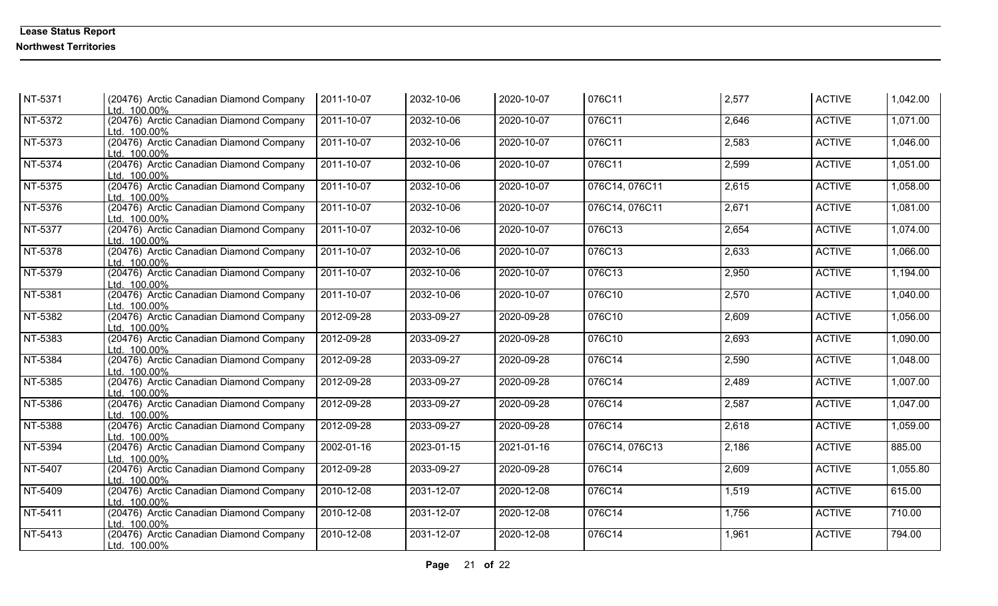| NT-5371 | (20476) Arctic Canadian Diamond Company<br>Ltd. 100.00% | 2011-10-07 | 2032-10-06 | 2020-10-07       | 076C11         | 2,577 | <b>ACTIVE</b> | 1,042.00 |
|---------|---------------------------------------------------------|------------|------------|------------------|----------------|-------|---------------|----------|
| NT-5372 | (20476) Arctic Canadian Diamond Company<br>Ltd. 100.00% | 2011-10-07 | 2032-10-06 | 2020-10-07       | 076C11         | 2,646 | <b>ACTIVE</b> | 1,071.00 |
| NT-5373 | (20476) Arctic Canadian Diamond Company<br>Ltd. 100.00% | 2011-10-07 | 2032-10-06 | 2020-10-07       | 076C11         | 2,583 | <b>ACTIVE</b> | 1,046.00 |
| NT-5374 | (20476) Arctic Canadian Diamond Company<br>Ltd. 100.00% | 2011-10-07 | 2032-10-06 | 2020-10-07       | 076C11         | 2,599 | <b>ACTIVE</b> | 1,051.00 |
| NT-5375 | (20476) Arctic Canadian Diamond Company<br>Ltd. 100.00% | 2011-10-07 | 2032-10-06 | 2020-10-07       | 076C14, 076C11 | 2,615 | <b>ACTIVE</b> | 1,058.00 |
| NT-5376 | (20476) Arctic Canadian Diamond Company<br>Ltd. 100.00% | 2011-10-07 | 2032-10-06 | 2020-10-07       | 076C14, 076C11 | 2,671 | <b>ACTIVE</b> | 1,081.00 |
| NT-5377 | (20476) Arctic Canadian Diamond Company<br>Ltd. 100.00% | 2011-10-07 | 2032-10-06 | 2020-10-07       | 076C13         | 2,654 | <b>ACTIVE</b> | 1,074.00 |
| NT-5378 | (20476) Arctic Canadian Diamond Company<br>Ltd. 100.00% | 2011-10-07 | 2032-10-06 | 2020-10-07       | 076C13         | 2,633 | <b>ACTIVE</b> | 1,066.00 |
| NT-5379 | (20476) Arctic Canadian Diamond Company<br>Ltd. 100.00% | 2011-10-07 | 2032-10-06 | 2020-10-07       | 076C13         | 2,950 | <b>ACTIVE</b> | 1,194.00 |
| NT-5381 | (20476) Arctic Canadian Diamond Company<br>Ltd. 100.00% | 2011-10-07 | 2032-10-06 | 2020-10-07       | 076C10         | 2,570 | <b>ACTIVE</b> | 1,040.00 |
| NT-5382 | (20476) Arctic Canadian Diamond Company<br>Ltd. 100.00% | 2012-09-28 | 2033-09-27 | $2020 - 09 - 28$ | 076C10         | 2,609 | <b>ACTIVE</b> | 1,056.00 |
| NT-5383 | (20476) Arctic Canadian Diamond Company<br>Ltd. 100.00% | 2012-09-28 | 2033-09-27 | 2020-09-28       | 076C10         | 2,693 | <b>ACTIVE</b> | 1,090.00 |
| NT-5384 | (20476) Arctic Canadian Diamond Company<br>Ltd. 100.00% | 2012-09-28 | 2033-09-27 | 2020-09-28       | 076C14         | 2,590 | <b>ACTIVE</b> | 1,048.00 |
| NT-5385 | (20476) Arctic Canadian Diamond Company<br>Ltd. 100.00% | 2012-09-28 | 2033-09-27 | 2020-09-28       | 076C14         | 2,489 | <b>ACTIVE</b> | 1,007.00 |
| NT-5386 | (20476) Arctic Canadian Diamond Company<br>Ltd. 100.00% | 2012-09-28 | 2033-09-27 | 2020-09-28       | 076C14         | 2,587 | <b>ACTIVE</b> | 1,047.00 |
| NT-5388 | (20476) Arctic Canadian Diamond Company<br>Ltd. 100.00% | 2012-09-28 | 2033-09-27 | 2020-09-28       | 076C14         | 2,618 | <b>ACTIVE</b> | 1,059.00 |
| NT-5394 | (20476) Arctic Canadian Diamond Company<br>Ltd. 100.00% | 2002-01-16 | 2023-01-15 | 2021-01-16       | 076C14, 076C13 | 2,186 | <b>ACTIVE</b> | 885.00   |
| NT-5407 | (20476) Arctic Canadian Diamond Company<br>Ltd. 100.00% | 2012-09-28 | 2033-09-27 | 2020-09-28       | 076C14         | 2,609 | <b>ACTIVE</b> | 1,055.80 |
| NT-5409 | (20476) Arctic Canadian Diamond Company<br>Ltd. 100.00% | 2010-12-08 | 2031-12-07 | 2020-12-08       | 076C14         | 1,519 | <b>ACTIVE</b> | 615.00   |
| NT-5411 | (20476) Arctic Canadian Diamond Company<br>Ltd. 100.00% | 2010-12-08 | 2031-12-07 | 2020-12-08       | 076C14         | 1,756 | <b>ACTIVE</b> | 710.00   |
| NT-5413 | (20476) Arctic Canadian Diamond Company<br>Ltd. 100.00% | 2010-12-08 | 2031-12-07 | 2020-12-08       | 076C14         | 1,961 | <b>ACTIVE</b> | 794.00   |